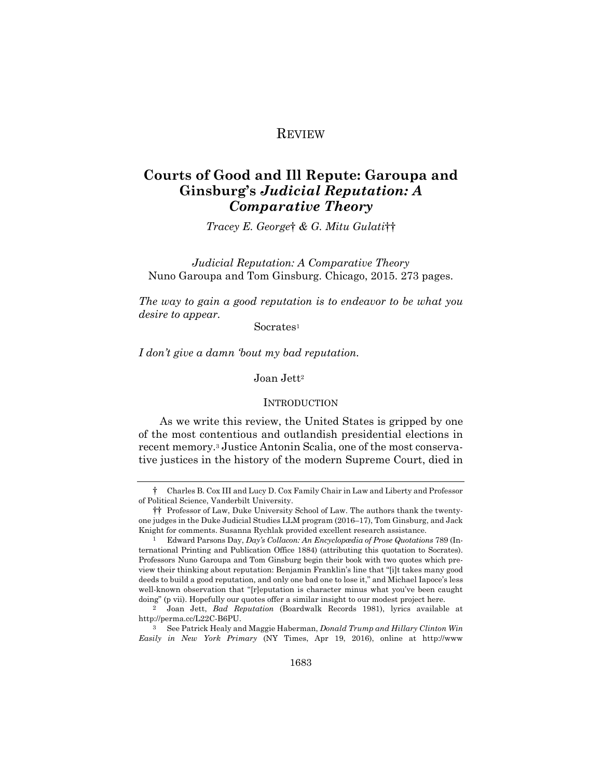## REVIEW

# **Courts of Good and Ill Repute: Garoupa and Ginsburg's** *Judicial Reputation: A Comparative Theory*

*Tracey E. George*† *& G. Mitu Gulati*††

*Judicial Reputation: A Comparative Theory* Nuno Garoupa and Tom Ginsburg. Chicago, 2015. 273 pages.

*The way to gain a good reputation is to endeavor to be what you desire to appear.* 

Socrates<sup>1</sup>

*I don't give a damn 'bout my bad reputation.*

Joan Jett<sup>2</sup>

## **INTRODUCTION**

As we write this review, the United States is gripped by one of the most contentious and outlandish presidential elections in recent memory.3 Justice Antonin Scalia, one of the most conservative justices in the history of the modern Supreme Court, died in

<sup>†</sup> Charles B. Cox III and Lucy D. Cox Family Chair in Law and Liberty and Professor of Political Science, Vanderbilt University.

<sup>††</sup> Professor of Law, Duke University School of Law. The authors thank the twentyone judges in the Duke Judicial Studies LLM program (2016–17), Tom Ginsburg, and Jack Knight for comments. Susanna Rychlak provided excellent research assistance.

<sup>1</sup> Edward Parsons Day, *Day's Collacon: An Encyclopædia of Prose Quotations* 789 (International Printing and Publication Office 1884) (attributing this quotation to Socrates). Professors Nuno Garoupa and Tom Ginsburg begin their book with two quotes which preview their thinking about reputation: Benjamin Franklin's line that "[i]t takes many good deeds to build a good reputation, and only one bad one to lose it," and Michael Iapoce's less well-known observation that "[r]eputation is character minus what you've been caught doing" (p vii). Hopefully our quotes offer a similar insight to our modest project here.

<sup>2</sup> Joan Jett, *Bad Reputation* (Boardwalk Records 1981), lyrics available at http://perma.cc/L22C-B6PU.

<sup>3</sup> See Patrick Healy and Maggie Haberman, *Donald Trump and Hillary Clinton Win Easily in New York Primary* (NY Times, Apr 19, 2016), online at http://www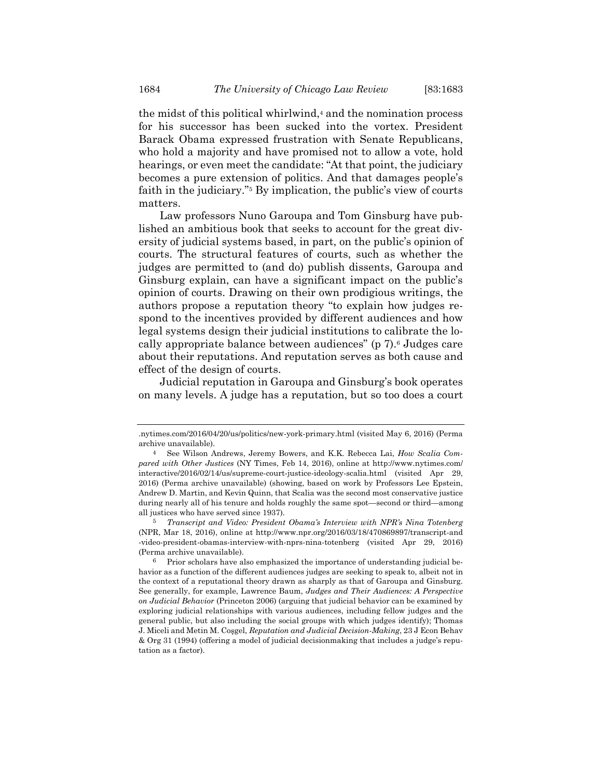the midst of this political whirlwind,<sup>4</sup> and the nomination process for his successor has been sucked into the vortex. President Barack Obama expressed frustration with Senate Republicans, who hold a majority and have promised not to allow a vote, hold hearings, or even meet the candidate: "At that point, the judiciary becomes a pure extension of politics. And that damages people's faith in the judiciary."5 By implication, the public's view of courts matters.

Law professors Nuno Garoupa and Tom Ginsburg have published an ambitious book that seeks to account for the great diversity of judicial systems based, in part, on the public's opinion of courts. The structural features of courts, such as whether the judges are permitted to (and do) publish dissents, Garoupa and Ginsburg explain, can have a significant impact on the public's opinion of courts. Drawing on their own prodigious writings, the authors propose a reputation theory "to explain how judges respond to the incentives provided by different audiences and how legal systems design their judicial institutions to calibrate the locally appropriate balance between audiences" (p 7).6 Judges care about their reputations. And reputation serves as both cause and effect of the design of courts.

Judicial reputation in Garoupa and Ginsburg's book operates on many levels. A judge has a reputation, but so too does a court

<sup>.</sup>nytimes.com/2016/04/20/us/politics/new-york-primary.html (visited May 6, 2016) (Perma archive unavailable).

<sup>4</sup> See Wilson Andrews, Jeremy Bowers, and K.K. Rebecca Lai, *How Scalia Compared with Other Justices* (NY Times, Feb 14, 2016), online at http://www.nytimes.com/ interactive/2016/02/14/us/supreme-court-justice-ideology-scalia.html (visited Apr 29, 2016) (Perma archive unavailable) (showing, based on work by Professors Lee Epstein, Andrew D. Martin, and Kevin Quinn, that Scalia was the second most conservative justice during nearly all of his tenure and holds roughly the same spot—second or third—among all justices who have served since 1937).

<sup>5</sup> *Transcript and Video: President Obama's Interview with NPR's Nina Totenberg* (NPR, Mar 18, 2016), online at http://www.npr.org/2016/03/18/470869897/transcript-and -video-president-obamas-interview-with-nprs-nina-totenberg (visited Apr 29, 2016) (Perma archive unavailable).

 $6$  Prior scholars have also emphasized the importance of understanding judicial behavior as a function of the different audiences judges are seeking to speak to, albeit not in the context of a reputational theory drawn as sharply as that of Garoupa and Ginsburg. See generally, for example, Lawrence Baum, *Judges and Their Audiences: A Perspective on Judicial Behavior* (Princeton 2006) (arguing that judicial behavior can be examined by exploring judicial relationships with various audiences, including fellow judges and the general public, but also including the social groups with which judges identify); Thomas J. Miceli and Metin M. Coşgel, *Reputation and Judicial Decision-Making*, 23 J Econ Behav & Org 31 (1994) (offering a model of judicial decisionmaking that includes a judge's reputation as a factor).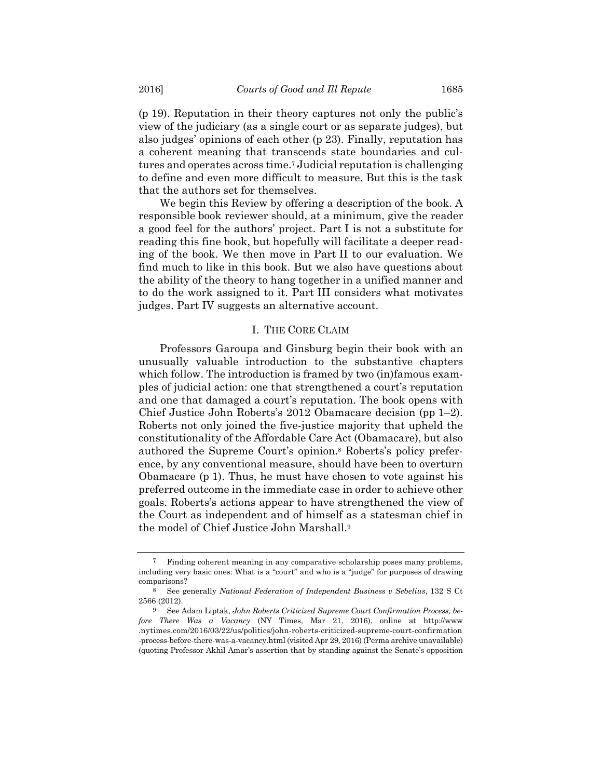(p 19). Reputation in their theory captures not only the public's view of the judiciary (as a single court or as separate judges), but also judges' opinions of each other (p 23). Finally, reputation has a coherent meaning that transcends state boundaries and cultures and operates across time.7 Judicial reputation is challenging to define and even more difficult to measure. But this is the task that the authors set for themselves.

We begin this Review by offering a description of the book. A responsible book reviewer should, at a minimum, give the reader a good feel for the authors' project. Part I is not a substitute for reading this fine book, but hopefully will facilitate a deeper reading of the book. We then move in Part II to our evaluation. We find much to like in this book. But we also have questions about the ability of the theory to hang together in a unified manner and to do the work assigned to it. Part III considers what motivates judges. Part IV suggests an alternative account.

## I. THE CORE CLAIM

Professors Garoupa and Ginsburg begin their book with an unusually valuable introduction to the substantive chapters which follow. The introduction is framed by two (in)famous examples of judicial action: one that strengthened a court's reputation and one that damaged a court's reputation. The book opens with Chief Justice John Roberts's 2012 Obamacare decision (pp 1–2). Roberts not only joined the five-justice majority that upheld the constitutionality of the Affordable Care Act (Obamacare), but also authored the Supreme Court's opinion.8 Roberts's policy preference, by any conventional measure, should have been to overturn Obamacare (p 1). Thus, he must have chosen to vote against his preferred outcome in the immediate case in order to achieve other goals. Roberts's actions appear to have strengthened the view of the Court as independent and of himself as a statesman chief in the model of Chief Justice John Marshall.9

<sup>7</sup> Finding coherent meaning in any comparative scholarship poses many problems, including very basic ones: What is a "court" and who is a "judge" for purposes of drawing comparisons?

<sup>8</sup> See generally *National Federation of Independent Business v Sebelius*, 132 S Ct 2566 (2012).

<sup>9</sup> See Adam Liptak, *John Roberts Criticized Supreme Court Confirmation Process, before There Was a Vacancy* (NY Times, Mar 21, 2016), online at http://www .nytimes.com/2016/03/22/us/politics/john-roberts-criticized-supreme-court-confirmation -process-before-there-was-a-vacancy.html (visited Apr 29, 2016) (Perma archive unavailable) (quoting Professor Akhil Amar's assertion that by standing against the Senate's opposition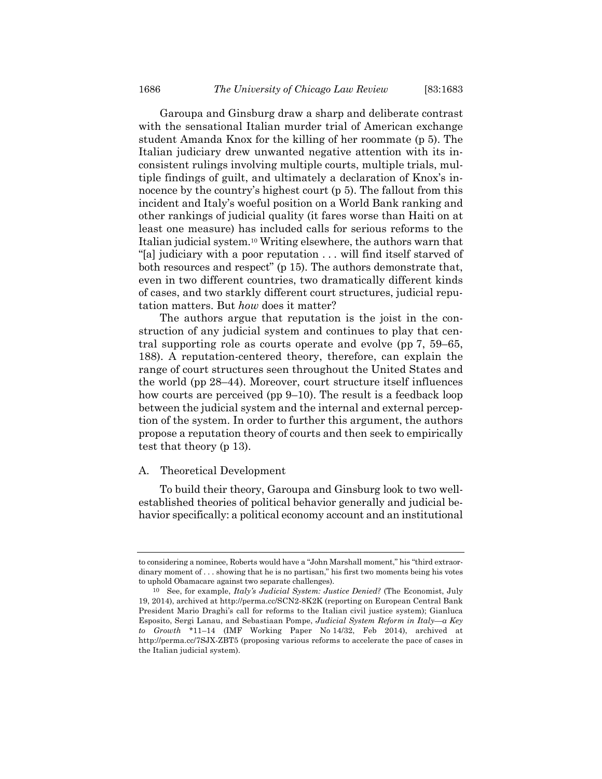Garoupa and Ginsburg draw a sharp and deliberate contrast with the sensational Italian murder trial of American exchange student Amanda Knox for the killing of her roommate (p 5). The Italian judiciary drew unwanted negative attention with its inconsistent rulings involving multiple courts, multiple trials, multiple findings of guilt, and ultimately a declaration of Knox's innocence by the country's highest court (p 5). The fallout from this incident and Italy's woeful position on a World Bank ranking and other rankings of judicial quality (it fares worse than Haiti on at least one measure) has included calls for serious reforms to the Italian judicial system.10 Writing elsewhere, the authors warn that "[a] judiciary with a poor reputation . . . will find itself starved of both resources and respect" (p 15). The authors demonstrate that, even in two different countries, two dramatically different kinds of cases, and two starkly different court structures, judicial reputation matters. But *how* does it matter?

The authors argue that reputation is the joist in the construction of any judicial system and continues to play that central supporting role as courts operate and evolve (pp 7, 59–65, 188). A reputation-centered theory, therefore, can explain the range of court structures seen throughout the United States and the world (pp 28–44). Moreover, court structure itself influences how courts are perceived (pp 9–10). The result is a feedback loop between the judicial system and the internal and external perception of the system. In order to further this argument, the authors propose a reputation theory of courts and then seek to empirically test that theory (p 13).

#### A. Theoretical Development

To build their theory, Garoupa and Ginsburg look to two wellestablished theories of political behavior generally and judicial behavior specifically: a political economy account and an institutional

to considering a nominee, Roberts would have a "John Marshall moment," his "third extraordinary moment of . . . showing that he is no partisan," his first two moments being his votes to uphold Obamacare against two separate challenges).

<sup>10</sup> See, for example, *Italy's Judicial System: Justice Denied?* (The Economist, July 19, 2014), archived at http://perma.cc/SCN2-8K2K (reporting on European Central Bank President Mario Draghi's call for reforms to the Italian civil justice system); Gianluca Esposito, Sergi Lanau, and Sebastiaan Pompe, *Judicial System Reform in Italy—a Key to Growth* \*11–14 (IMF Working Paper No 14/32, Feb 2014), archived at http://perma.cc/7SJX-ZBT5 (proposing various reforms to accelerate the pace of cases in the Italian judicial system).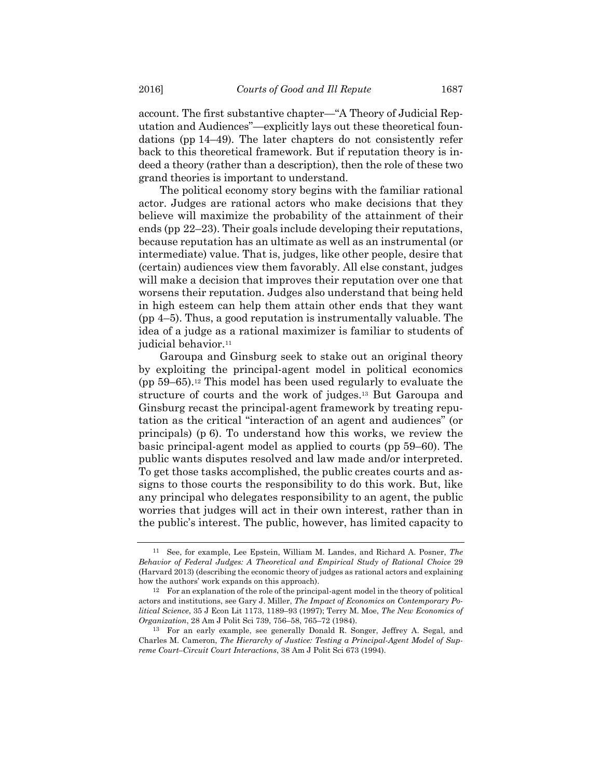account. The first substantive chapter—"A Theory of Judicial Reputation and Audiences"—explicitly lays out these theoretical foundations (pp 14–49). The later chapters do not consistently refer back to this theoretical framework. But if reputation theory is indeed a theory (rather than a description), then the role of these two grand theories is important to understand.

The political economy story begins with the familiar rational actor. Judges are rational actors who make decisions that they believe will maximize the probability of the attainment of their ends (pp 22–23). Their goals include developing their reputations, because reputation has an ultimate as well as an instrumental (or intermediate) value. That is, judges, like other people, desire that (certain) audiences view them favorably. All else constant, judges will make a decision that improves their reputation over one that worsens their reputation. Judges also understand that being held in high esteem can help them attain other ends that they want (pp 4–5). Thus, a good reputation is instrumentally valuable. The idea of a judge as a rational maximizer is familiar to students of judicial behavior.<sup>11</sup>

Garoupa and Ginsburg seek to stake out an original theory by exploiting the principal-agent model in political economics (pp 59–65).12 This model has been used regularly to evaluate the structure of courts and the work of judges.13 But Garoupa and Ginsburg recast the principal-agent framework by treating reputation as the critical "interaction of an agent and audiences" (or principals) (p 6). To understand how this works, we review the basic principal-agent model as applied to courts (pp 59–60). The public wants disputes resolved and law made and/or interpreted. To get those tasks accomplished, the public creates courts and assigns to those courts the responsibility to do this work. But, like any principal who delegates responsibility to an agent, the public worries that judges will act in their own interest, rather than in the public's interest. The public, however, has limited capacity to

<sup>11</sup> See, for example, Lee Epstein, William M. Landes, and Richard A. Posner, *The Behavior of Federal Judges: A Theoretical and Empirical Study of Rational Choice* 29 (Harvard 2013) (describing the economic theory of judges as rational actors and explaining how the authors' work expands on this approach).

<sup>12</sup> For an explanation of the role of the principal-agent model in the theory of political actors and institutions, see Gary J. Miller, *The Impact of Economics on Contemporary Political Science*, 35 J Econ Lit 1173, 1189–93 (1997); Terry M. Moe, *The New Economics of Organization*, 28 Am J Polit Sci 739, 756–58, 765–72 (1984).

<sup>13</sup> For an early example, see generally Donald R. Songer, Jeffrey A. Segal, and Charles M. Cameron, *The Hierarchy of Justice: Testing a Principal-Agent Model of Supreme Court–Circuit Court Interactions*, 38 Am J Polit Sci 673 (1994).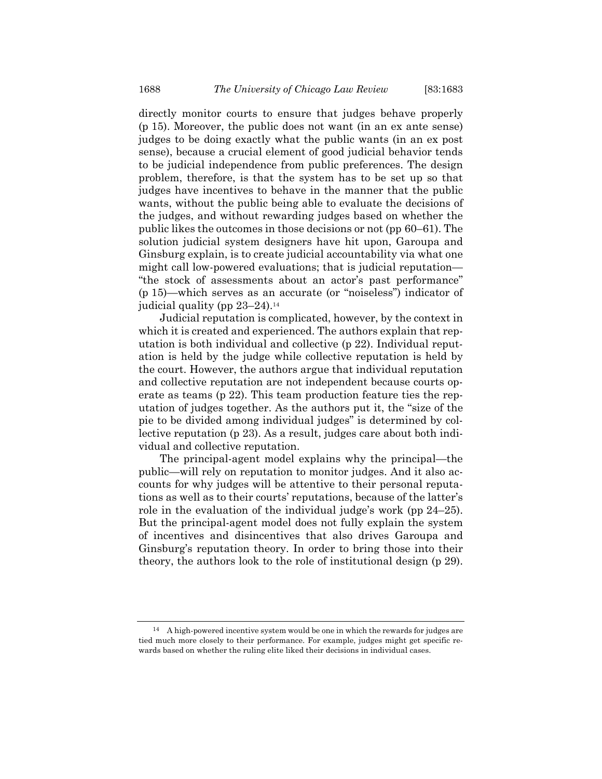directly monitor courts to ensure that judges behave properly (p 15). Moreover, the public does not want (in an ex ante sense) judges to be doing exactly what the public wants (in an ex post sense), because a crucial element of good judicial behavior tends to be judicial independence from public preferences. The design problem, therefore, is that the system has to be set up so that judges have incentives to behave in the manner that the public wants, without the public being able to evaluate the decisions of the judges, and without rewarding judges based on whether the public likes the outcomes in those decisions or not (pp 60–61). The solution judicial system designers have hit upon, Garoupa and Ginsburg explain, is to create judicial accountability via what one might call low-powered evaluations; that is judicial reputation— "the stock of assessments about an actor's past performance" (p 15)—which serves as an accurate (or "noiseless") indicator of judicial quality (pp 23–24).14

Judicial reputation is complicated, however, by the context in which it is created and experienced. The authors explain that reputation is both individual and collective (p 22). Individual reputation is held by the judge while collective reputation is held by the court. However, the authors argue that individual reputation and collective reputation are not independent because courts operate as teams (p 22). This team production feature ties the reputation of judges together. As the authors put it, the "size of the pie to be divided among individual judges" is determined by collective reputation (p 23). As a result, judges care about both individual and collective reputation.

The principal-agent model explains why the principal—the public—will rely on reputation to monitor judges. And it also accounts for why judges will be attentive to their personal reputations as well as to their courts' reputations, because of the latter's role in the evaluation of the individual judge's work (pp 24–25). But the principal-agent model does not fully explain the system of incentives and disincentives that also drives Garoupa and Ginsburg's reputation theory. In order to bring those into their theory, the authors look to the role of institutional design (p 29).

<sup>14</sup> A high-powered incentive system would be one in which the rewards for judges are tied much more closely to their performance. For example, judges might get specific rewards based on whether the ruling elite liked their decisions in individual cases.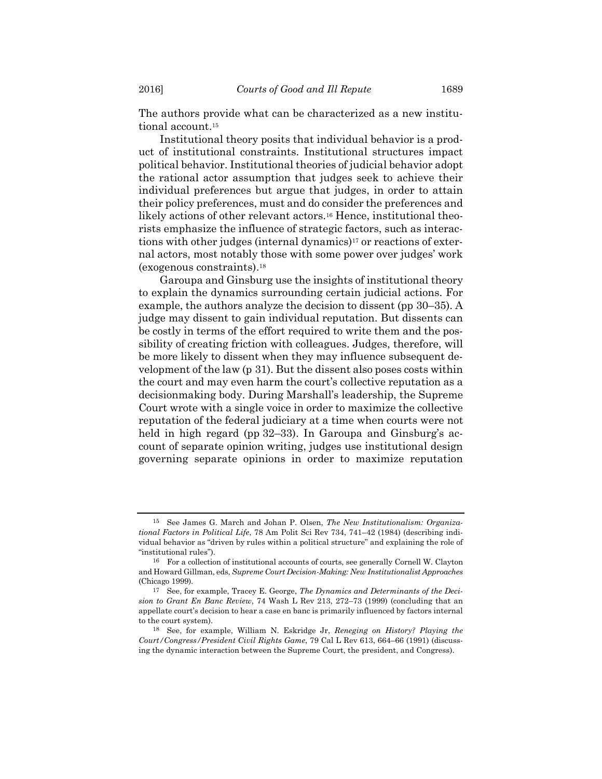The authors provide what can be characterized as a new institutional account.15

Institutional theory posits that individual behavior is a product of institutional constraints. Institutional structures impact political behavior. Institutional theories of judicial behavior adopt the rational actor assumption that judges seek to achieve their individual preferences but argue that judges, in order to attain their policy preferences, must and do consider the preferences and likely actions of other relevant actors.<sup>16</sup> Hence, institutional theorists emphasize the influence of strategic factors, such as interactions with other judges (internal dynamics)17 or reactions of external actors, most notably those with some power over judges' work (exogenous constraints).18

Garoupa and Ginsburg use the insights of institutional theory to explain the dynamics surrounding certain judicial actions. For example, the authors analyze the decision to dissent (pp 30–35). A judge may dissent to gain individual reputation. But dissents can be costly in terms of the effort required to write them and the possibility of creating friction with colleagues. Judges, therefore, will be more likely to dissent when they may influence subsequent development of the law (p 31). But the dissent also poses costs within the court and may even harm the court's collective reputation as a decisionmaking body. During Marshall's leadership, the Supreme Court wrote with a single voice in order to maximize the collective reputation of the federal judiciary at a time when courts were not held in high regard (pp 32–33). In Garoupa and Ginsburg's account of separate opinion writing, judges use institutional design governing separate opinions in order to maximize reputation

<sup>15</sup> See James G. March and Johan P. Olsen, *The New Institutionalism: Organizational Factors in Political Life*, 78 Am Polit Sci Rev 734, 741–42 (1984) (describing individual behavior as "driven by rules within a political structure" and explaining the role of "institutional rules").

<sup>16</sup> For a collection of institutional accounts of courts, see generally Cornell W. Clayton and Howard Gillman, eds, *Supreme Court Decision-Making: New Institutionalist Approaches* (Chicago 1999).

<sup>17</sup> See, for example, Tracey E. George, *The Dynamics and Determinants of the Decision to Grant En Banc Review*, 74 Wash L Rev 213, 272–73 (1999) (concluding that an appellate court's decision to hear a case en banc is primarily influenced by factors internal to the court system).

<sup>18</sup> See, for example, William N. Eskridge Jr, *Reneging on History? Playing the Court/Congress/President Civil Rights Game*, 79 Cal L Rev 613, 664–66 (1991) (discussing the dynamic interaction between the Supreme Court, the president, and Congress).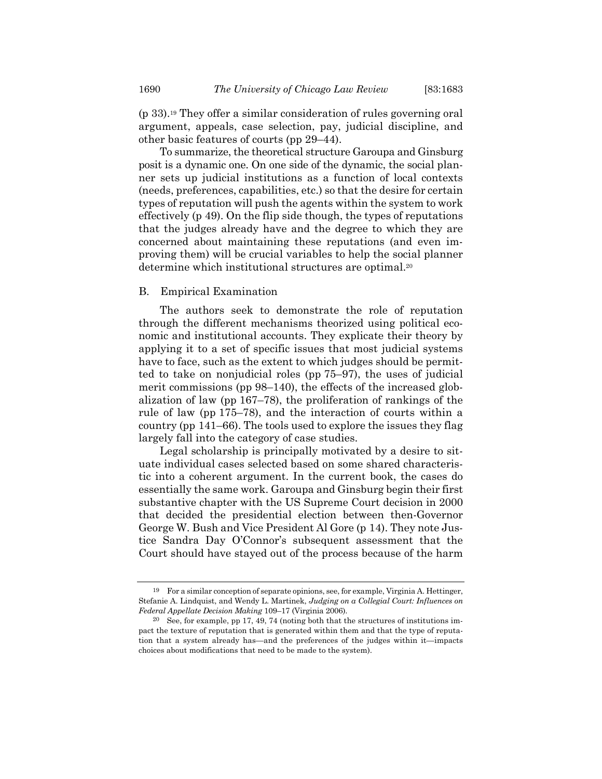(p 33).19 They offer a similar consideration of rules governing oral argument, appeals, case selection, pay, judicial discipline, and other basic features of courts (pp 29–44).

To summarize, the theoretical structure Garoupa and Ginsburg posit is a dynamic one. On one side of the dynamic, the social planner sets up judicial institutions as a function of local contexts (needs, preferences, capabilities, etc.) so that the desire for certain types of reputation will push the agents within the system to work effectively (p 49). On the flip side though, the types of reputations that the judges already have and the degree to which they are concerned about maintaining these reputations (and even improving them) will be crucial variables to help the social planner determine which institutional structures are optimal.20

## B. Empirical Examination

The authors seek to demonstrate the role of reputation through the different mechanisms theorized using political economic and institutional accounts. They explicate their theory by applying it to a set of specific issues that most judicial systems have to face, such as the extent to which judges should be permitted to take on nonjudicial roles (pp 75–97), the uses of judicial merit commissions (pp 98–140), the effects of the increased globalization of law (pp 167–78), the proliferation of rankings of the rule of law (pp 175–78), and the interaction of courts within a country (pp 141–66). The tools used to explore the issues they flag largely fall into the category of case studies.

Legal scholarship is principally motivated by a desire to situate individual cases selected based on some shared characteristic into a coherent argument. In the current book, the cases do essentially the same work. Garoupa and Ginsburg begin their first substantive chapter with the US Supreme Court decision in 2000 that decided the presidential election between then-Governor George W. Bush and Vice President Al Gore (p 14). They note Justice Sandra Day O'Connor's subsequent assessment that the Court should have stayed out of the process because of the harm

<sup>19</sup> For a similar conception of separate opinions, see, for example, Virginia A. Hettinger, Stefanie A. Lindquist, and Wendy L. Martinek, *Judging on a Collegial Court: Influences on Federal Appellate Decision Making* 109–17 (Virginia 2006).

<sup>&</sup>lt;sup>20</sup> See, for example, pp 17, 49, 74 (noting both that the structures of institutions impact the texture of reputation that is generated within them and that the type of reputation that a system already has—and the preferences of the judges within it—impacts choices about modifications that need to be made to the system).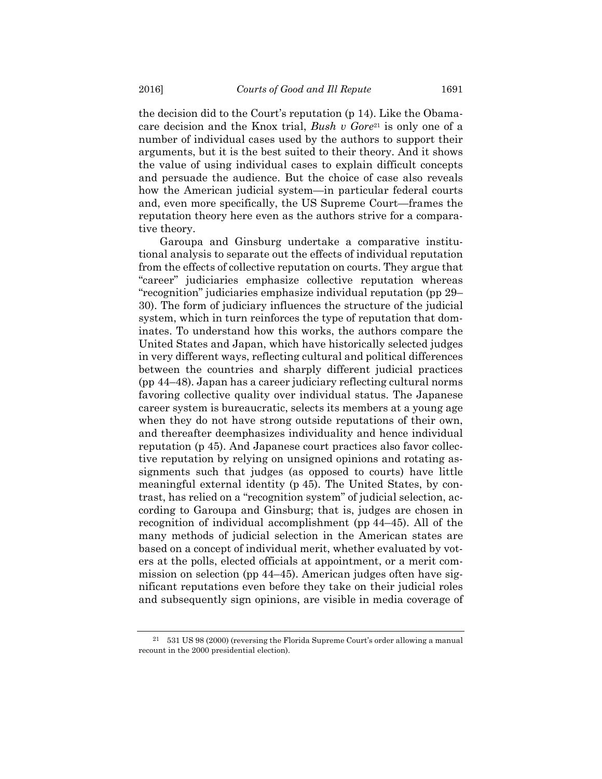the decision did to the Court's reputation (p 14). Like the Obamacare decision and the Knox trial, *Bush v Gore*<sup>21</sup> is only one of a number of individual cases used by the authors to support their arguments, but it is the best suited to their theory. And it shows the value of using individual cases to explain difficult concepts and persuade the audience. But the choice of case also reveals how the American judicial system—in particular federal courts and, even more specifically, the US Supreme Court—frames the reputation theory here even as the authors strive for a comparative theory.

Garoupa and Ginsburg undertake a comparative institutional analysis to separate out the effects of individual reputation from the effects of collective reputation on courts. They argue that "career" judiciaries emphasize collective reputation whereas "recognition" judiciaries emphasize individual reputation (pp 29– 30). The form of judiciary influences the structure of the judicial system, which in turn reinforces the type of reputation that dominates. To understand how this works, the authors compare the United States and Japan, which have historically selected judges in very different ways, reflecting cultural and political differences between the countries and sharply different judicial practices (pp 44–48). Japan has a career judiciary reflecting cultural norms favoring collective quality over individual status. The Japanese career system is bureaucratic, selects its members at a young age when they do not have strong outside reputations of their own, and thereafter deemphasizes individuality and hence individual reputation (p 45). And Japanese court practices also favor collective reputation by relying on unsigned opinions and rotating assignments such that judges (as opposed to courts) have little meaningful external identity (p 45). The United States, by contrast, has relied on a "recognition system" of judicial selection, according to Garoupa and Ginsburg; that is, judges are chosen in recognition of individual accomplishment (pp 44–45). All of the many methods of judicial selection in the American states are based on a concept of individual merit, whether evaluated by voters at the polls, elected officials at appointment, or a merit commission on selection (pp 44–45). American judges often have significant reputations even before they take on their judicial roles and subsequently sign opinions, are visible in media coverage of

<sup>21 531</sup> US 98 (2000) (reversing the Florida Supreme Court's order allowing a manual recount in the 2000 presidential election).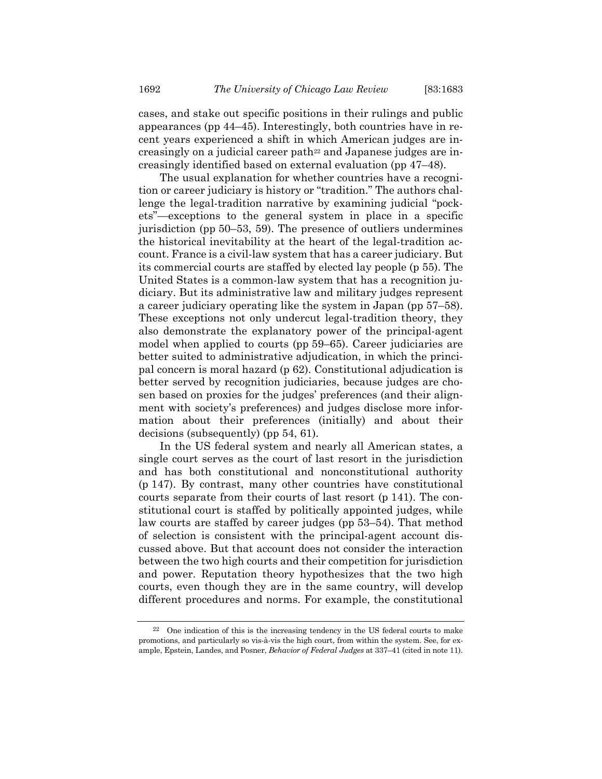cases, and stake out specific positions in their rulings and public appearances (pp 44–45). Interestingly, both countries have in recent years experienced a shift in which American judges are increasingly on a judicial career path<sup>22</sup> and Japanese judges are increasingly identified based on external evaluation (pp 47–48).

The usual explanation for whether countries have a recognition or career judiciary is history or "tradition." The authors challenge the legal-tradition narrative by examining judicial "pockets"—exceptions to the general system in place in a specific jurisdiction (pp 50–53, 59). The presence of outliers undermines the historical inevitability at the heart of the legal-tradition account. France is a civil-law system that has a career judiciary. But its commercial courts are staffed by elected lay people (p 55). The United States is a common-law system that has a recognition judiciary. But its administrative law and military judges represent a career judiciary operating like the system in Japan (pp 57–58). These exceptions not only undercut legal-tradition theory, they also demonstrate the explanatory power of the principal-agent model when applied to courts (pp 59–65). Career judiciaries are better suited to administrative adjudication, in which the principal concern is moral hazard (p 62). Constitutional adjudication is better served by recognition judiciaries, because judges are chosen based on proxies for the judges' preferences (and their alignment with society's preferences) and judges disclose more information about their preferences (initially) and about their decisions (subsequently) (pp 54, 61).

In the US federal system and nearly all American states, a single court serves as the court of last resort in the jurisdiction and has both constitutional and nonconstitutional authority (p 147). By contrast, many other countries have constitutional courts separate from their courts of last resort (p 141). The constitutional court is staffed by politically appointed judges, while law courts are staffed by career judges (pp 53–54). That method of selection is consistent with the principal-agent account discussed above. But that account does not consider the interaction between the two high courts and their competition for jurisdiction and power. Reputation theory hypothesizes that the two high courts, even though they are in the same country, will develop different procedures and norms. For example, the constitutional

<sup>22</sup> One indication of this is the increasing tendency in the US federal courts to make promotions, and particularly so vis-à-vis the high court, from within the system. See, for example, Epstein, Landes, and Posner, *Behavior of Federal Judges* at 337–41 (cited in note 11).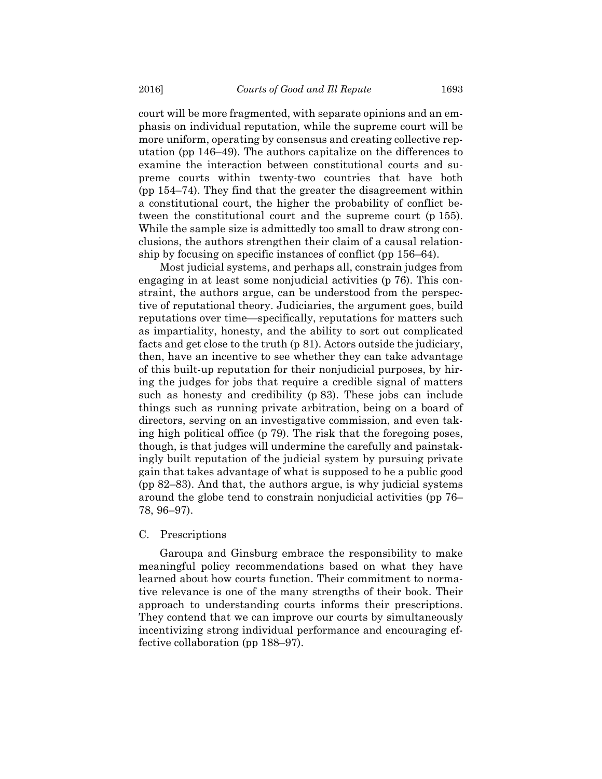court will be more fragmented, with separate opinions and an emphasis on individual reputation, while the supreme court will be more uniform, operating by consensus and creating collective reputation (pp 146–49). The authors capitalize on the differences to examine the interaction between constitutional courts and supreme courts within twenty-two countries that have both (pp 154–74). They find that the greater the disagreement within a constitutional court, the higher the probability of conflict between the constitutional court and the supreme court (p 155). While the sample size is admittedly too small to draw strong conclusions, the authors strengthen their claim of a causal relationship by focusing on specific instances of conflict (pp 156–64).

Most judicial systems, and perhaps all, constrain judges from engaging in at least some nonjudicial activities (p 76). This constraint, the authors argue, can be understood from the perspective of reputational theory. Judiciaries, the argument goes, build reputations over time—specifically, reputations for matters such as impartiality, honesty, and the ability to sort out complicated facts and get close to the truth (p 81). Actors outside the judiciary, then, have an incentive to see whether they can take advantage of this built-up reputation for their nonjudicial purposes, by hiring the judges for jobs that require a credible signal of matters such as honesty and credibility (p 83). These jobs can include things such as running private arbitration, being on a board of directors, serving on an investigative commission, and even taking high political office (p 79). The risk that the foregoing poses, though, is that judges will undermine the carefully and painstakingly built reputation of the judicial system by pursuing private gain that takes advantage of what is supposed to be a public good (pp 82–83). And that, the authors argue, is why judicial systems around the globe tend to constrain nonjudicial activities (pp 76– 78, 96–97).

#### C. Prescriptions

Garoupa and Ginsburg embrace the responsibility to make meaningful policy recommendations based on what they have learned about how courts function. Their commitment to normative relevance is one of the many strengths of their book. Their approach to understanding courts informs their prescriptions. They contend that we can improve our courts by simultaneously incentivizing strong individual performance and encouraging effective collaboration (pp 188–97).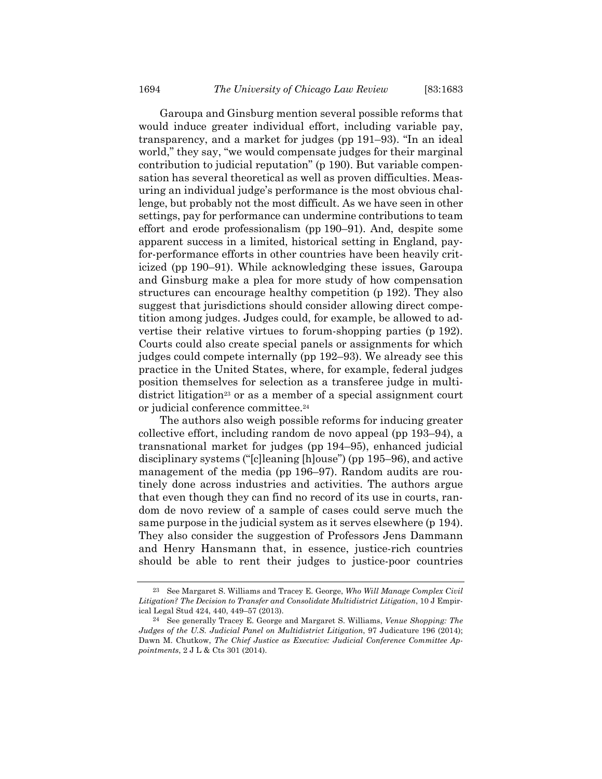Garoupa and Ginsburg mention several possible reforms that would induce greater individual effort, including variable pay, transparency, and a market for judges (pp 191–93). "In an ideal world," they say, "we would compensate judges for their marginal contribution to judicial reputation" (p 190). But variable compensation has several theoretical as well as proven difficulties. Measuring an individual judge's performance is the most obvious challenge, but probably not the most difficult. As we have seen in other settings, pay for performance can undermine contributions to team effort and erode professionalism (pp 190–91). And, despite some apparent success in a limited, historical setting in England, payfor-performance efforts in other countries have been heavily criticized (pp 190–91). While acknowledging these issues, Garoupa and Ginsburg make a plea for more study of how compensation structures can encourage healthy competition (p 192). They also suggest that jurisdictions should consider allowing direct competition among judges. Judges could, for example, be allowed to advertise their relative virtues to forum-shopping parties (p 192). Courts could also create special panels or assignments for which judges could compete internally (pp 192–93). We already see this practice in the United States, where, for example, federal judges position themselves for selection as a transferee judge in multidistrict litigation<sup>23</sup> or as a member of a special assignment court or judicial conference committee.24

The authors also weigh possible reforms for inducing greater collective effort, including random de novo appeal (pp 193–94), a transnational market for judges (pp 194–95), enhanced judicial disciplinary systems ("[c]leaning [h]ouse") (pp 195–96), and active management of the media (pp 196–97). Random audits are routinely done across industries and activities. The authors argue that even though they can find no record of its use in courts, random de novo review of a sample of cases could serve much the same purpose in the judicial system as it serves elsewhere (p 194). They also consider the suggestion of Professors Jens Dammann and Henry Hansmann that, in essence, justice-rich countries should be able to rent their judges to justice-poor countries

<sup>23</sup> See Margaret S. Williams and Tracey E. George, *Who Will Manage Complex Civil Litigation? The Decision to Transfer and Consolidate Multidistrict Litigation*, 10 J Empirical Legal Stud 424, 440, 449–57 (2013).

<sup>24</sup> See generally Tracey E. George and Margaret S. Williams, *Venue Shopping: The Judges of the U.S. Judicial Panel on Multidistrict Litigation*, 97 Judicature 196 (2014); Dawn M. Chutkow, *The Chief Justice as Executive: Judicial Conference Committee Appointments*, 2 J L & Cts 301 (2014).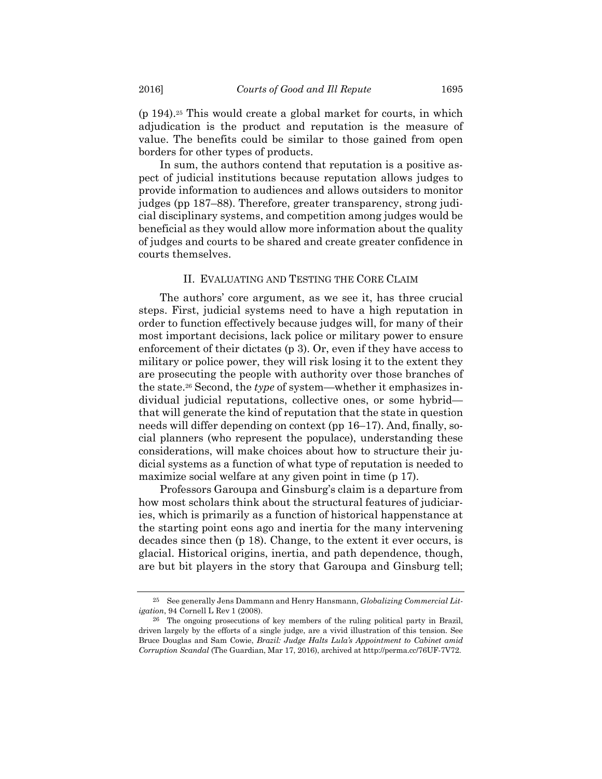(p 194).25 This would create a global market for courts, in which adjudication is the product and reputation is the measure of value. The benefits could be similar to those gained from open borders for other types of products.

In sum, the authors contend that reputation is a positive aspect of judicial institutions because reputation allows judges to provide information to audiences and allows outsiders to monitor judges (pp 187–88). Therefore, greater transparency, strong judicial disciplinary systems, and competition among judges would be beneficial as they would allow more information about the quality of judges and courts to be shared and create greater confidence in courts themselves.

## II. EVALUATING AND TESTING THE CORE CLAIM

The authors' core argument, as we see it, has three crucial steps. First, judicial systems need to have a high reputation in order to function effectively because judges will, for many of their most important decisions, lack police or military power to ensure enforcement of their dictates (p 3). Or, even if they have access to military or police power, they will risk losing it to the extent they are prosecuting the people with authority over those branches of the state.26 Second, the *type* of system—whether it emphasizes individual judicial reputations, collective ones, or some hybrid that will generate the kind of reputation that the state in question needs will differ depending on context (pp 16–17). And, finally, social planners (who represent the populace), understanding these considerations, will make choices about how to structure their judicial systems as a function of what type of reputation is needed to maximize social welfare at any given point in time (p 17).

Professors Garoupa and Ginsburg's claim is a departure from how most scholars think about the structural features of judiciaries, which is primarily as a function of historical happenstance at the starting point eons ago and inertia for the many intervening decades since then (p 18). Change, to the extent it ever occurs, is glacial. Historical origins, inertia, and path dependence, though, are but bit players in the story that Garoupa and Ginsburg tell;

<sup>25</sup> See generally Jens Dammann and Henry Hansmann, *Globalizing Commercial Litigation*, 94 Cornell L Rev 1 (2008).

<sup>26</sup> The ongoing prosecutions of key members of the ruling political party in Brazil, driven largely by the efforts of a single judge, are a vivid illustration of this tension. See Bruce Douglas and Sam Cowie, *Brazil: Judge Halts Lula's Appointment to Cabinet amid Corruption Scandal* (The Guardian, Mar 17, 2016), archived at http://perma.cc/76UF-7V72.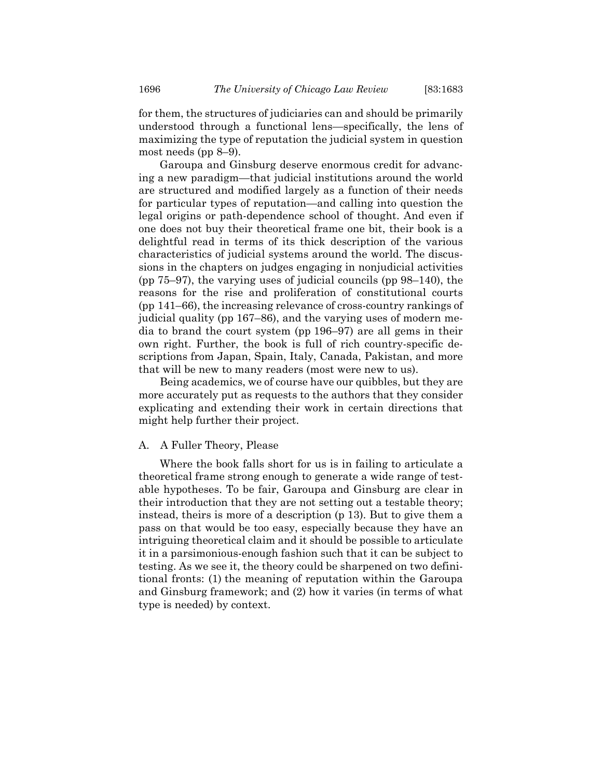for them, the structures of judiciaries can and should be primarily understood through a functional lens—specifically, the lens of maximizing the type of reputation the judicial system in question most needs (pp 8–9).

Garoupa and Ginsburg deserve enormous credit for advancing a new paradigm—that judicial institutions around the world are structured and modified largely as a function of their needs for particular types of reputation—and calling into question the legal origins or path-dependence school of thought. And even if one does not buy their theoretical frame one bit, their book is a delightful read in terms of its thick description of the various characteristics of judicial systems around the world. The discussions in the chapters on judges engaging in nonjudicial activities (pp 75–97), the varying uses of judicial councils (pp 98–140), the reasons for the rise and proliferation of constitutional courts (pp 141–66), the increasing relevance of cross-country rankings of judicial quality (pp 167–86), and the varying uses of modern media to brand the court system (pp 196–97) are all gems in their own right. Further, the book is full of rich country-specific descriptions from Japan, Spain, Italy, Canada, Pakistan, and more that will be new to many readers (most were new to us).

Being academics, we of course have our quibbles, but they are more accurately put as requests to the authors that they consider explicating and extending their work in certain directions that might help further their project.

#### A. A Fuller Theory, Please

Where the book falls short for us is in failing to articulate a theoretical frame strong enough to generate a wide range of testable hypotheses. To be fair, Garoupa and Ginsburg are clear in their introduction that they are not setting out a testable theory; instead, theirs is more of a description (p 13). But to give them a pass on that would be too easy, especially because they have an intriguing theoretical claim and it should be possible to articulate it in a parsimonious-enough fashion such that it can be subject to testing. As we see it, the theory could be sharpened on two definitional fronts: (1) the meaning of reputation within the Garoupa and Ginsburg framework; and (2) how it varies (in terms of what type is needed) by context.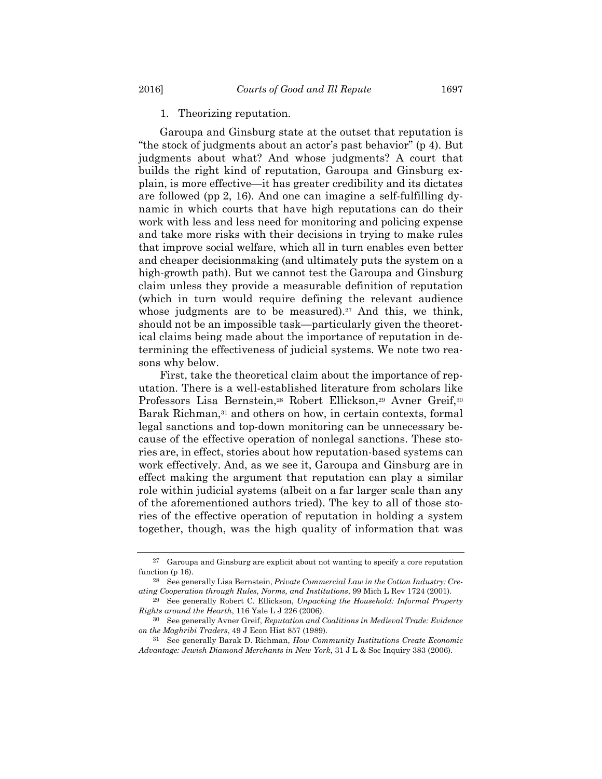#### 1. Theorizing reputation.

Garoupa and Ginsburg state at the outset that reputation is "the stock of judgments about an actor's past behavior" (p 4). But judgments about what? And whose judgments? A court that builds the right kind of reputation, Garoupa and Ginsburg explain, is more effective—it has greater credibility and its dictates are followed (pp 2, 16). And one can imagine a self-fulfilling dynamic in which courts that have high reputations can do their work with less and less need for monitoring and policing expense and take more risks with their decisions in trying to make rules that improve social welfare, which all in turn enables even better and cheaper decisionmaking (and ultimately puts the system on a high-growth path). But we cannot test the Garoupa and Ginsburg claim unless they provide a measurable definition of reputation (which in turn would require defining the relevant audience whose judgments are to be measured).<sup>27</sup> And this, we think, should not be an impossible task—particularly given the theoretical claims being made about the importance of reputation in determining the effectiveness of judicial systems. We note two reasons why below.

First, take the theoretical claim about the importance of reputation. There is a well-established literature from scholars like Professors Lisa Bernstein,<sup>28</sup> Robert Ellickson,<sup>29</sup> Avner Greif,<sup>30</sup> Barak Richman,<sup>31</sup> and others on how, in certain contexts, formal legal sanctions and top-down monitoring can be unnecessary because of the effective operation of nonlegal sanctions. These stories are, in effect, stories about how reputation-based systems can work effectively. And, as we see it, Garoupa and Ginsburg are in effect making the argument that reputation can play a similar role within judicial systems (albeit on a far larger scale than any of the aforementioned authors tried). The key to all of those stories of the effective operation of reputation in holding a system together, though, was the high quality of information that was

<sup>27</sup> Garoupa and Ginsburg are explicit about not wanting to specify a core reputation function (p 16).

<sup>28</sup> See generally Lisa Bernstein, *Private Commercial Law in the Cotton Industry: Creating Cooperation through Rules, Norms, and Institutions*, 99 Mich L Rev 1724 (2001).

<sup>29</sup> See generally Robert C. Ellickson, *Unpacking the Household: Informal Property Rights around the Hearth*, 116 Yale L J 226 (2006).

<sup>30</sup> See generally Avner Greif, *Reputation and Coalitions in Medieval Trade: Evidence on the Maghribi Traders*, 49 J Econ Hist 857 (1989).

<sup>31</sup> See generally Barak D. Richman, *How Community Institutions Create Economic Advantage: Jewish Diamond Merchants in New York*, 31 J L & Soc Inquiry 383 (2006).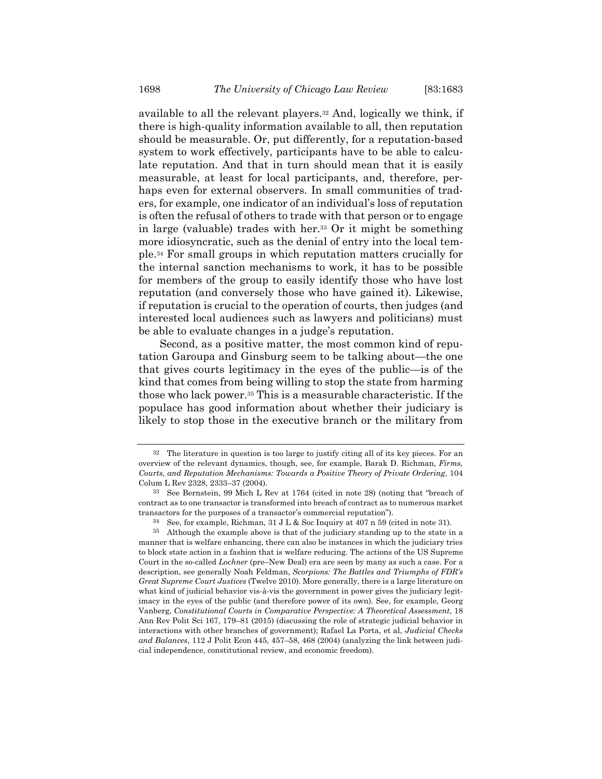available to all the relevant players.32 And, logically we think, if there is high-quality information available to all, then reputation should be measurable. Or, put differently, for a reputation-based system to work effectively, participants have to be able to calculate reputation. And that in turn should mean that it is easily measurable, at least for local participants, and, therefore, perhaps even for external observers. In small communities of traders, for example, one indicator of an individual's loss of reputation is often the refusal of others to trade with that person or to engage in large (valuable) trades with her.33 Or it might be something more idiosyncratic, such as the denial of entry into the local temple.34 For small groups in which reputation matters crucially for the internal sanction mechanisms to work, it has to be possible for members of the group to easily identify those who have lost reputation (and conversely those who have gained it). Likewise, if reputation is crucial to the operation of courts, then judges (and interested local audiences such as lawyers and politicians) must be able to evaluate changes in a judge's reputation.

Second, as a positive matter, the most common kind of reputation Garoupa and Ginsburg seem to be talking about—the one that gives courts legitimacy in the eyes of the public—is of the kind that comes from being willing to stop the state from harming those who lack power.35 This is a measurable characteristic. If the populace has good information about whether their judiciary is likely to stop those in the executive branch or the military from

<sup>32</sup> The literature in question is too large to justify citing all of its key pieces. For an overview of the relevant dynamics, though, see, for example, Barak D. Richman, *Firms, Courts, and Reputation Mechanisms: Towards a Positive Theory of Private Ordering*, 104 Colum L Rev 2328, 2333–37 (2004).

<sup>33</sup> See Bernstein, 99 Mich L Rev at 1764 (cited in note 28) (noting that "breach of contract as to one transactor is transformed into breach of contract as to numerous market transactors for the purposes of a transactor's commercial reputation").

 $34$  See, for example, Richman,  $31 \text{ J L}$  & Soc Inquiry at  $407 \text{ n } 59$  (cited in note 31).

<sup>35</sup> Although the example above is that of the judiciary standing up to the state in a manner that is welfare enhancing, there can also be instances in which the judiciary tries to block state action in a fashion that is welfare reducing. The actions of the US Supreme Court in the so-called *Lochner* (pre–New Deal) era are seen by many as such a case. For a description, see generally Noah Feldman, *Scorpions: The Battles and Triumphs of FDR's Great Supreme Court Justices* (Twelve 2010). More generally, there is a large literature on what kind of judicial behavior vis-à-vis the government in power gives the judiciary legitimacy in the eyes of the public (and therefore power of its own). See, for example, Georg Vanberg, *Constitutional Courts in Comparative Perspective: A Theoretical Assessment*, 18 Ann Rev Polit Sci 167, 179–81 (2015) (discussing the role of strategic judicial behavior in interactions with other branches of government); Rafael La Porta, et al, *Judicial Checks and Balances*, 112 J Polit Econ 445, 457–58, 468 (2004) (analyzing the link between judicial independence, constitutional review, and economic freedom).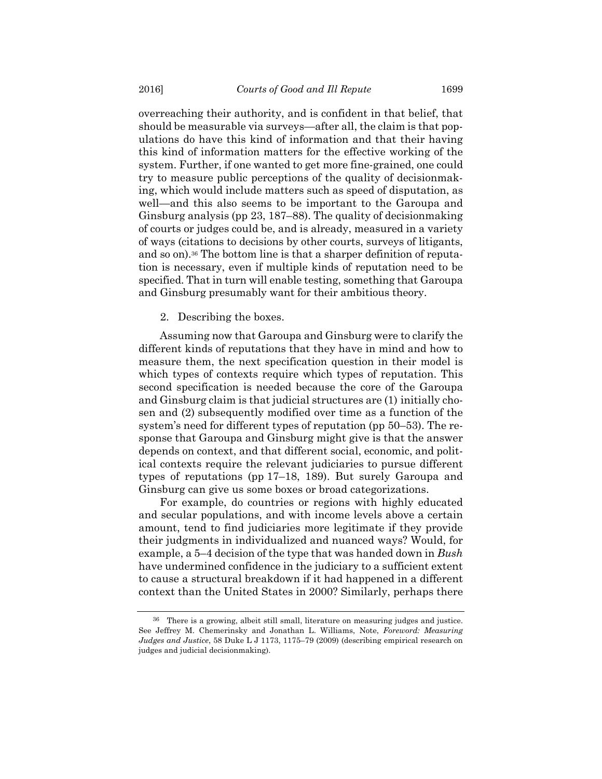overreaching their authority, and is confident in that belief, that should be measurable via surveys—after all, the claim is that populations do have this kind of information and that their having this kind of information matters for the effective working of the system. Further, if one wanted to get more fine-grained, one could try to measure public perceptions of the quality of decisionmaking, which would include matters such as speed of disputation, as well—and this also seems to be important to the Garoupa and Ginsburg analysis (pp 23, 187–88). The quality of decisionmaking of courts or judges could be, and is already, measured in a variety of ways (citations to decisions by other courts, surveys of litigants, and so on).36 The bottom line is that a sharper definition of reputation is necessary, even if multiple kinds of reputation need to be specified. That in turn will enable testing, something that Garoupa and Ginsburg presumably want for their ambitious theory.

2. Describing the boxes.

Assuming now that Garoupa and Ginsburg were to clarify the different kinds of reputations that they have in mind and how to measure them, the next specification question in their model is which types of contexts require which types of reputation. This second specification is needed because the core of the Garoupa and Ginsburg claim is that judicial structures are (1) initially chosen and (2) subsequently modified over time as a function of the system's need for different types of reputation (pp 50–53). The response that Garoupa and Ginsburg might give is that the answer depends on context, and that different social, economic, and political contexts require the relevant judiciaries to pursue different types of reputations (pp 17–18, 189). But surely Garoupa and Ginsburg can give us some boxes or broad categorizations.

For example, do countries or regions with highly educated and secular populations, and with income levels above a certain amount, tend to find judiciaries more legitimate if they provide their judgments in individualized and nuanced ways? Would, for example, a 5–4 decision of the type that was handed down in *Bush* have undermined confidence in the judiciary to a sufficient extent to cause a structural breakdown if it had happened in a different context than the United States in 2000? Similarly, perhaps there

<sup>36</sup> There is a growing, albeit still small, literature on measuring judges and justice. See Jeffrey M. Chemerinsky and Jonathan L. Williams, Note, *Foreword: Measuring Judges and Justice*, 58 Duke L J 1173, 1175–79 (2009) (describing empirical research on judges and judicial decisionmaking).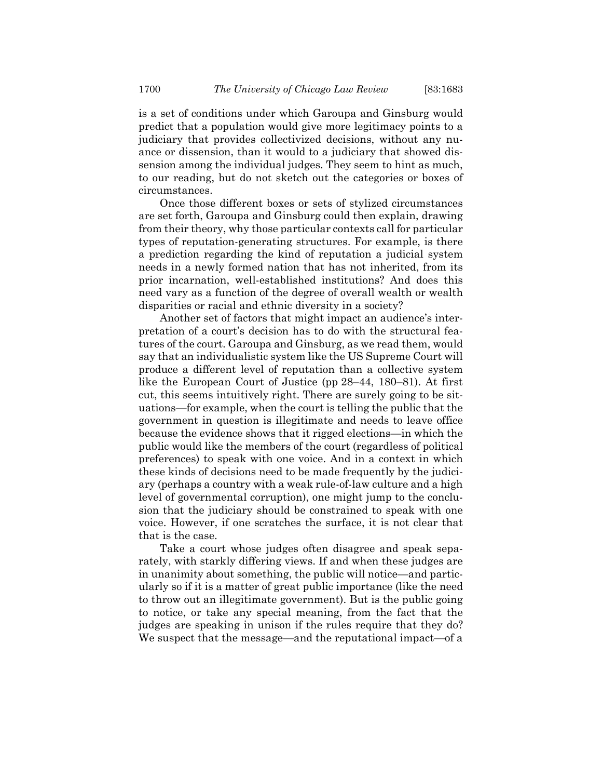is a set of conditions under which Garoupa and Ginsburg would predict that a population would give more legitimacy points to a judiciary that provides collectivized decisions, without any nuance or dissension, than it would to a judiciary that showed dissension among the individual judges. They seem to hint as much, to our reading, but do not sketch out the categories or boxes of circumstances.

Once those different boxes or sets of stylized circumstances are set forth, Garoupa and Ginsburg could then explain, drawing from their theory, why those particular contexts call for particular types of reputation-generating structures. For example, is there a prediction regarding the kind of reputation a judicial system needs in a newly formed nation that has not inherited, from its prior incarnation, well-established institutions? And does this need vary as a function of the degree of overall wealth or wealth disparities or racial and ethnic diversity in a society?

Another set of factors that might impact an audience's interpretation of a court's decision has to do with the structural features of the court. Garoupa and Ginsburg, as we read them, would say that an individualistic system like the US Supreme Court will produce a different level of reputation than a collective system like the European Court of Justice (pp 28–44, 180–81). At first cut, this seems intuitively right. There are surely going to be situations—for example, when the court is telling the public that the government in question is illegitimate and needs to leave office because the evidence shows that it rigged elections—in which the public would like the members of the court (regardless of political preferences) to speak with one voice. And in a context in which these kinds of decisions need to be made frequently by the judiciary (perhaps a country with a weak rule-of-law culture and a high level of governmental corruption), one might jump to the conclusion that the judiciary should be constrained to speak with one voice. However, if one scratches the surface, it is not clear that that is the case.

Take a court whose judges often disagree and speak separately, with starkly differing views. If and when these judges are in unanimity about something, the public will notice—and particularly so if it is a matter of great public importance (like the need to throw out an illegitimate government). But is the public going to notice, or take any special meaning, from the fact that the judges are speaking in unison if the rules require that they do? We suspect that the message—and the reputational impact—of a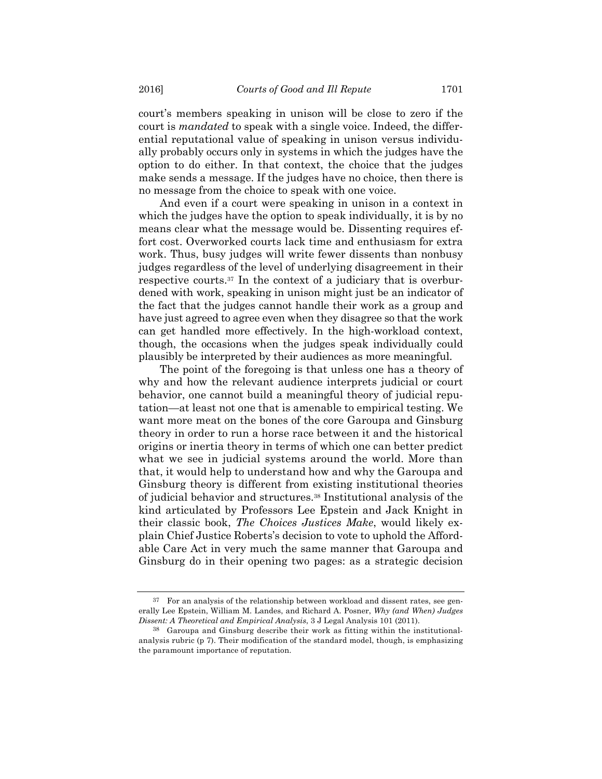court's members speaking in unison will be close to zero if the court is *mandated* to speak with a single voice. Indeed, the differential reputational value of speaking in unison versus individually probably occurs only in systems in which the judges have the option to do either. In that context, the choice that the judges make sends a message. If the judges have no choice, then there is no message from the choice to speak with one voice.

And even if a court were speaking in unison in a context in which the judges have the option to speak individually, it is by no means clear what the message would be. Dissenting requires effort cost. Overworked courts lack time and enthusiasm for extra work. Thus, busy judges will write fewer dissents than nonbusy judges regardless of the level of underlying disagreement in their respective courts.37 In the context of a judiciary that is overburdened with work, speaking in unison might just be an indicator of the fact that the judges cannot handle their work as a group and have just agreed to agree even when they disagree so that the work can get handled more effectively. In the high-workload context, though, the occasions when the judges speak individually could plausibly be interpreted by their audiences as more meaningful.

The point of the foregoing is that unless one has a theory of why and how the relevant audience interprets judicial or court behavior, one cannot build a meaningful theory of judicial reputation—at least not one that is amenable to empirical testing. We want more meat on the bones of the core Garoupa and Ginsburg theory in order to run a horse race between it and the historical origins or inertia theory in terms of which one can better predict what we see in judicial systems around the world. More than that, it would help to understand how and why the Garoupa and Ginsburg theory is different from existing institutional theories of judicial behavior and structures.38 Institutional analysis of the kind articulated by Professors Lee Epstein and Jack Knight in their classic book, *The Choices Justices Make*, would likely explain Chief Justice Roberts's decision to vote to uphold the Affordable Care Act in very much the same manner that Garoupa and Ginsburg do in their opening two pages: as a strategic decision

<sup>37</sup> For an analysis of the relationship between workload and dissent rates, see generally Lee Epstein, William M. Landes, and Richard A. Posner, *Why (and When) Judges Dissent: A Theoretical and Empirical Analysis*, 3 J Legal Analysis 101 (2011).

<sup>38</sup> Garoupa and Ginsburg describe their work as fitting within the institutionalanalysis rubric (p 7). Their modification of the standard model, though, is emphasizing the paramount importance of reputation.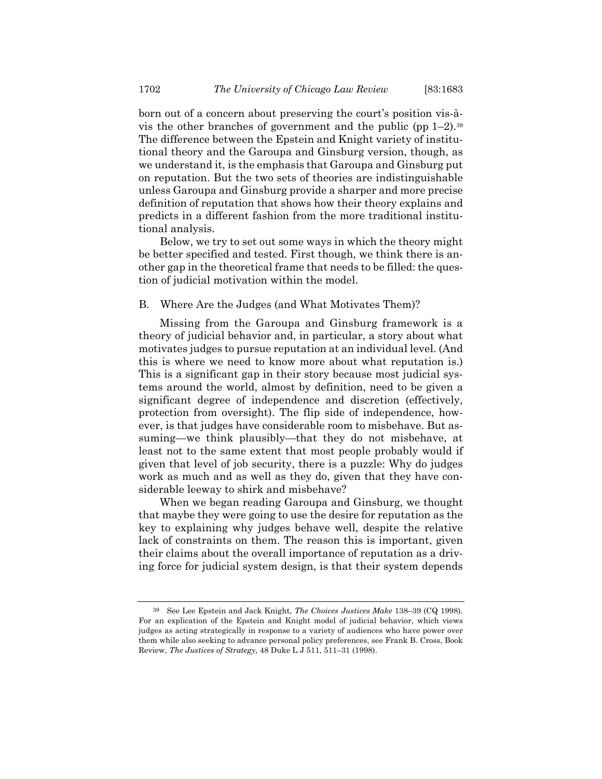born out of a concern about preserving the court's position vis-àvis the other branches of government and the public (pp  $1-2$ ).<sup>39</sup> The difference between the Epstein and Knight variety of institutional theory and the Garoupa and Ginsburg version, though, as we understand it, is the emphasis that Garoupa and Ginsburg put on reputation. But the two sets of theories are indistinguishable unless Garoupa and Ginsburg provide a sharper and more precise definition of reputation that shows how their theory explains and predicts in a different fashion from the more traditional institutional analysis.

Below, we try to set out some ways in which the theory might be better specified and tested. First though, we think there is another gap in the theoretical frame that needs to be filled: the question of judicial motivation within the model.

## B. Where Are the Judges (and What Motivates Them)?

Missing from the Garoupa and Ginsburg framework is a theory of judicial behavior and, in particular, a story about what motivates judges to pursue reputation at an individual level. (And this is where we need to know more about what reputation is.) This is a significant gap in their story because most judicial systems around the world, almost by definition, need to be given a significant degree of independence and discretion (effectively, protection from oversight). The flip side of independence, however, is that judges have considerable room to misbehave. But assuming—we think plausibly—that they do not misbehave, at least not to the same extent that most people probably would if given that level of job security, there is a puzzle: Why do judges work as much and as well as they do, given that they have considerable leeway to shirk and misbehave?

When we began reading Garoupa and Ginsburg, we thought that maybe they were going to use the desire for reputation as the key to explaining why judges behave well, despite the relative lack of constraints on them. The reason this is important, given their claims about the overall importance of reputation as a driving force for judicial system design, is that their system depends

<sup>39</sup> See Lee Epstein and Jack Knight, *The Choices Justices Make* 138–39 (CQ 1998). For an explication of the Epstein and Knight model of judicial behavior, which views judges as acting strategically in response to a variety of audiences who have power over them while also seeking to advance personal policy preferences, see Frank B. Cross, Book Review, *The Justices of Strategy*, 48 Duke L J 511, 511–31 (1998).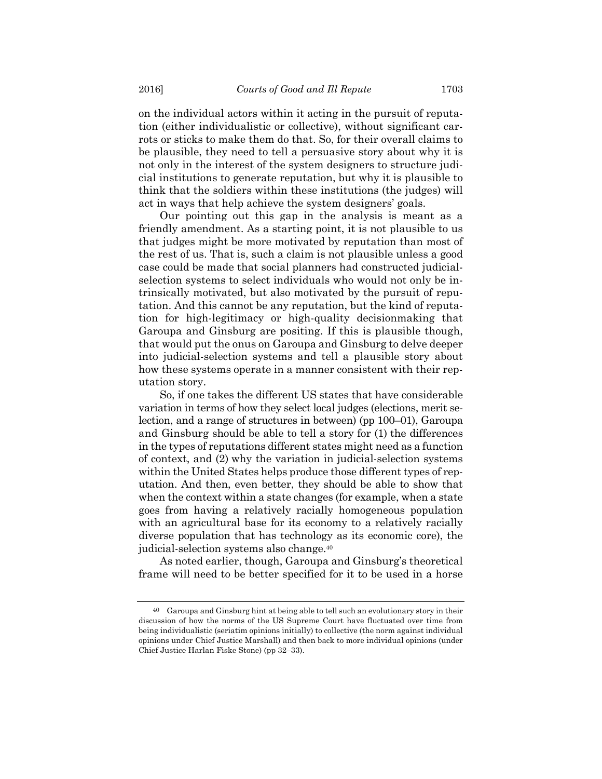on the individual actors within it acting in the pursuit of reputation (either individualistic or collective), without significant carrots or sticks to make them do that. So, for their overall claims to be plausible, they need to tell a persuasive story about why it is not only in the interest of the system designers to structure judicial institutions to generate reputation, but why it is plausible to think that the soldiers within these institutions (the judges) will act in ways that help achieve the system designers' goals.

Our pointing out this gap in the analysis is meant as a friendly amendment. As a starting point, it is not plausible to us that judges might be more motivated by reputation than most of the rest of us. That is, such a claim is not plausible unless a good case could be made that social planners had constructed judicialselection systems to select individuals who would not only be intrinsically motivated, but also motivated by the pursuit of reputation. And this cannot be any reputation, but the kind of reputation for high-legitimacy or high-quality decisionmaking that Garoupa and Ginsburg are positing. If this is plausible though, that would put the onus on Garoupa and Ginsburg to delve deeper into judicial-selection systems and tell a plausible story about how these systems operate in a manner consistent with their reputation story.

So, if one takes the different US states that have considerable variation in terms of how they select local judges (elections, merit selection, and a range of structures in between) (pp 100–01), Garoupa and Ginsburg should be able to tell a story for (1) the differences in the types of reputations different states might need as a function of context, and (2) why the variation in judicial-selection systems within the United States helps produce those different types of reputation. And then, even better, they should be able to show that when the context within a state changes (for example, when a state goes from having a relatively racially homogeneous population with an agricultural base for its economy to a relatively racially diverse population that has technology as its economic core), the judicial-selection systems also change.40

As noted earlier, though, Garoupa and Ginsburg's theoretical frame will need to be better specified for it to be used in a horse

<sup>40</sup> Garoupa and Ginsburg hint at being able to tell such an evolutionary story in their discussion of how the norms of the US Supreme Court have fluctuated over time from being individualistic (seriatim opinions initially) to collective (the norm against individual opinions under Chief Justice Marshall) and then back to more individual opinions (under Chief Justice Harlan Fiske Stone) (pp 32–33).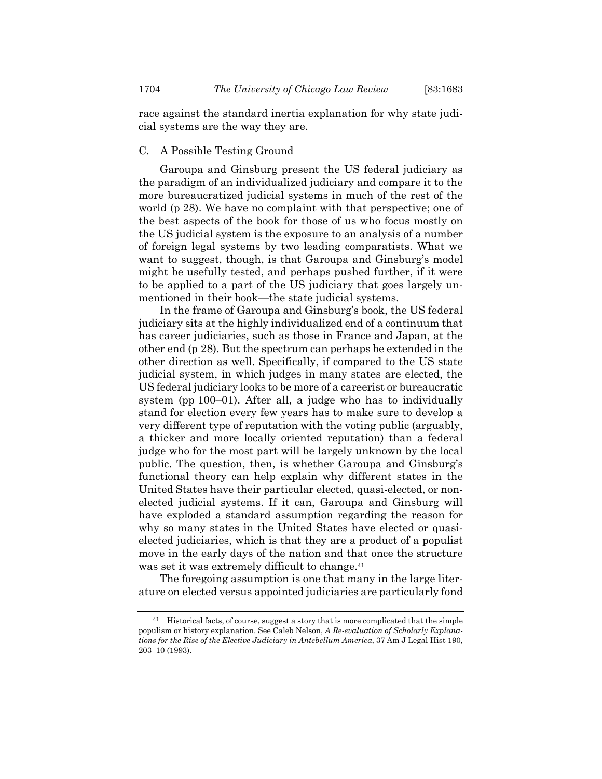race against the standard inertia explanation for why state judicial systems are the way they are.

## C. A Possible Testing Ground

Garoupa and Ginsburg present the US federal judiciary as the paradigm of an individualized judiciary and compare it to the more bureaucratized judicial systems in much of the rest of the world (p 28). We have no complaint with that perspective; one of the best aspects of the book for those of us who focus mostly on the US judicial system is the exposure to an analysis of a number of foreign legal systems by two leading comparatists. What we want to suggest, though, is that Garoupa and Ginsburg's model might be usefully tested, and perhaps pushed further, if it were to be applied to a part of the US judiciary that goes largely unmentioned in their book—the state judicial systems.

In the frame of Garoupa and Ginsburg's book, the US federal judiciary sits at the highly individualized end of a continuum that has career judiciaries, such as those in France and Japan, at the other end (p 28). But the spectrum can perhaps be extended in the other direction as well. Specifically, if compared to the US state judicial system, in which judges in many states are elected, the US federal judiciary looks to be more of a careerist or bureaucratic system (pp 100–01). After all, a judge who has to individually stand for election every few years has to make sure to develop a very different type of reputation with the voting public (arguably, a thicker and more locally oriented reputation) than a federal judge who for the most part will be largely unknown by the local public. The question, then, is whether Garoupa and Ginsburg's functional theory can help explain why different states in the United States have their particular elected, quasi-elected, or nonelected judicial systems. If it can, Garoupa and Ginsburg will have exploded a standard assumption regarding the reason for why so many states in the United States have elected or quasielected judiciaries, which is that they are a product of a populist move in the early days of the nation and that once the structure was set it was extremely difficult to change.<sup>41</sup>

The foregoing assumption is one that many in the large literature on elected versus appointed judiciaries are particularly fond

<sup>&</sup>lt;sup>41</sup> Historical facts, of course, suggest a story that is more complicated that the simple populism or history explanation. See Caleb Nelson, *A Re-evaluation of Scholarly Explanations for the Rise of the Elective Judiciary in Antebellum America*, 37 Am J Legal Hist 190, 203–10 (1993).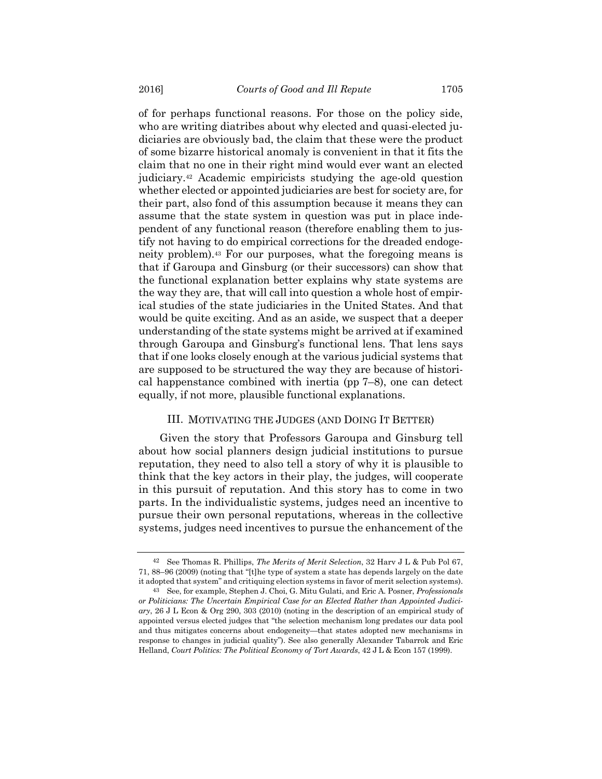of for perhaps functional reasons. For those on the policy side, who are writing diatribes about why elected and quasi-elected judiciaries are obviously bad, the claim that these were the product of some bizarre historical anomaly is convenient in that it fits the claim that no one in their right mind would ever want an elected judiciary.42 Academic empiricists studying the age-old question whether elected or appointed judiciaries are best for society are, for their part, also fond of this assumption because it means they can assume that the state system in question was put in place independent of any functional reason (therefore enabling them to justify not having to do empirical corrections for the dreaded endogeneity problem).43 For our purposes, what the foregoing means is that if Garoupa and Ginsburg (or their successors) can show that the functional explanation better explains why state systems are the way they are, that will call into question a whole host of empirical studies of the state judiciaries in the United States. And that would be quite exciting. And as an aside, we suspect that a deeper understanding of the state systems might be arrived at if examined through Garoupa and Ginsburg's functional lens. That lens says that if one looks closely enough at the various judicial systems that are supposed to be structured the way they are because of historical happenstance combined with inertia (pp 7–8), one can detect equally, if not more, plausible functional explanations.

#### III. MOTIVATING THE JUDGES (AND DOING IT BETTER)

Given the story that Professors Garoupa and Ginsburg tell about how social planners design judicial institutions to pursue reputation, they need to also tell a story of why it is plausible to think that the key actors in their play, the judges, will cooperate in this pursuit of reputation. And this story has to come in two parts. In the individualistic systems, judges need an incentive to pursue their own personal reputations, whereas in the collective systems, judges need incentives to pursue the enhancement of the

<sup>42</sup> See Thomas R. Phillips, *The Merits of Merit Selection*, 32 Harv J L & Pub Pol 67, 71, 88–96 (2009) (noting that "[t]he type of system a state has depends largely on the date it adopted that system" and critiquing election systems in favor of merit selection systems).

<sup>43</sup> See, for example, Stephen J. Choi, G. Mitu Gulati, and Eric A. Posner, *Professionals or Politicians: The Uncertain Empirical Case for an Elected Rather than Appointed Judiciary*, 26 J L Econ & Org 290, 303 (2010) (noting in the description of an empirical study of appointed versus elected judges that "the selection mechanism long predates our data pool and thus mitigates concerns about endogeneity—that states adopted new mechanisms in response to changes in judicial quality"). See also generally Alexander Tabarrok and Eric Helland, *Court Politics: The Political Economy of Tort Awards*, 42 J L & Econ 157 (1999).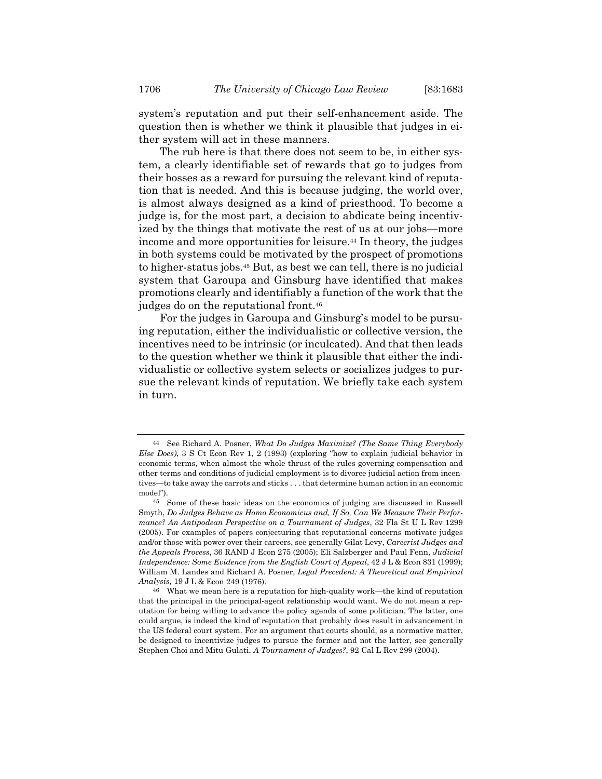system's reputation and put their self-enhancement aside. The question then is whether we think it plausible that judges in either system will act in these manners.

The rub here is that there does not seem to be, in either system, a clearly identifiable set of rewards that go to judges from their bosses as a reward for pursuing the relevant kind of reputation that is needed. And this is because judging, the world over, is almost always designed as a kind of priesthood. To become a judge is, for the most part, a decision to abdicate being incentivized by the things that motivate the rest of us at our jobs—more income and more opportunities for leisure.<sup>44</sup> In theory, the judges in both systems could be motivated by the prospect of promotions to higher-status jobs.45 But, as best we can tell, there is no judicial system that Garoupa and Ginsburg have identified that makes promotions clearly and identifiably a function of the work that the judges do on the reputational front.46

For the judges in Garoupa and Ginsburg's model to be pursuing reputation, either the individualistic or collective version, the incentives need to be intrinsic (or inculcated). And that then leads to the question whether we think it plausible that either the individualistic or collective system selects or socializes judges to pursue the relevant kinds of reputation. We briefly take each system in turn.

<sup>44</sup> See Richard A. Posner, *What Do Judges Maximize? (The Same Thing Everybody Else Does)*, 3 S Ct Econ Rev 1, 2 (1993) (exploring "how to explain judicial behavior in economic terms, when almost the whole thrust of the rules governing compensation and other terms and conditions of judicial employment is to divorce judicial action from incentives—to take away the carrots and sticks . . . that determine human action in an economic model").

<sup>45</sup> Some of these basic ideas on the economics of judging are discussed in Russell Smyth, *Do Judges Behave as Homo Economicus and, If So, Can We Measure Their Performance? An Antipodean Perspective on a Tournament of Judges*, 32 Fla St U L Rev 1299 (2005). For examples of papers conjecturing that reputational concerns motivate judges and/or those with power over their careers, see generally Gilat Levy, *Careerist Judges and the Appeals Process*, 36 RAND J Econ 275 (2005); Eli Salzberger and Paul Fenn, *Judicial Independence: Some Evidence from the English Court of Appeal*, 42 J L & Econ 831 (1999); William M. Landes and Richard A. Posner, *Legal Precedent: A Theoretical and Empirical Analysis*, 19 J L & Econ 249 (1976).

<sup>46</sup> What we mean here is a reputation for high-quality work—the kind of reputation that the principal in the principal-agent relationship would want. We do not mean a reputation for being willing to advance the policy agenda of some politician. The latter, one could argue, is indeed the kind of reputation that probably does result in advancement in the US federal court system. For an argument that courts should, as a normative matter, be designed to incentivize judges to pursue the former and not the latter, see generally Stephen Choi and Mitu Gulati, *A Tournament of Judges?*, 92 Cal L Rev 299 (2004).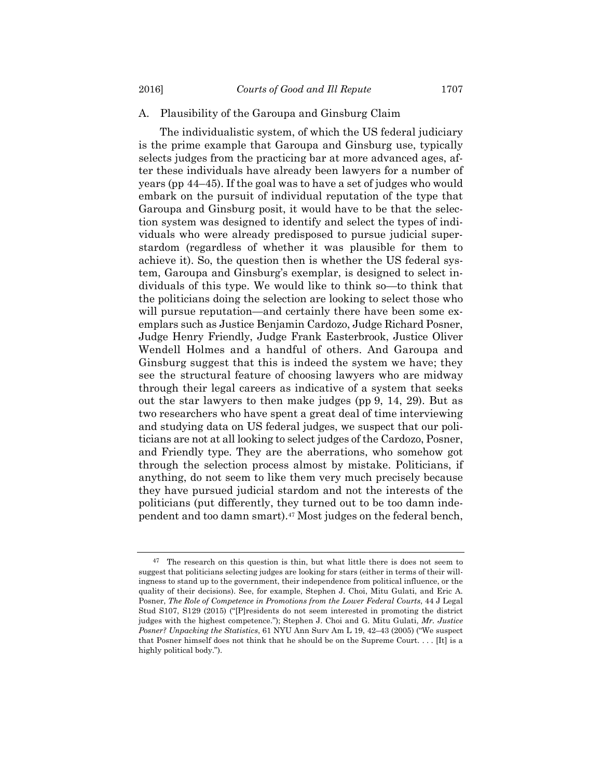## A. Plausibility of the Garoupa and Ginsburg Claim

The individualistic system, of which the US federal judiciary is the prime example that Garoupa and Ginsburg use, typically selects judges from the practicing bar at more advanced ages, after these individuals have already been lawyers for a number of years (pp 44–45). If the goal was to have a set of judges who would embark on the pursuit of individual reputation of the type that Garoupa and Ginsburg posit, it would have to be that the selection system was designed to identify and select the types of individuals who were already predisposed to pursue judicial superstardom (regardless of whether it was plausible for them to achieve it). So, the question then is whether the US federal system, Garoupa and Ginsburg's exemplar, is designed to select individuals of this type. We would like to think so—to think that the politicians doing the selection are looking to select those who will pursue reputation—and certainly there have been some exemplars such as Justice Benjamin Cardozo, Judge Richard Posner, Judge Henry Friendly, Judge Frank Easterbrook, Justice Oliver Wendell Holmes and a handful of others. And Garoupa and Ginsburg suggest that this is indeed the system we have; they see the structural feature of choosing lawyers who are midway through their legal careers as indicative of a system that seeks out the star lawyers to then make judges (pp 9, 14, 29). But as two researchers who have spent a great deal of time interviewing and studying data on US federal judges, we suspect that our politicians are not at all looking to select judges of the Cardozo, Posner, and Friendly type. They are the aberrations, who somehow got through the selection process almost by mistake. Politicians, if anything, do not seem to like them very much precisely because they have pursued judicial stardom and not the interests of the politicians (put differently, they turned out to be too damn independent and too damn smart).47 Most judges on the federal bench,

 $47$  The research on this question is thin, but what little there is does not seem to suggest that politicians selecting judges are looking for stars (either in terms of their willingness to stand up to the government, their independence from political influence, or the quality of their decisions). See, for example, Stephen J. Choi, Mitu Gulati, and Eric A. Posner, *The Role of Competence in Promotions from the Lower Federal Courts*, 44 J Legal Stud S107, S129 (2015) ("[P]residents do not seem interested in promoting the district judges with the highest competence."); Stephen J. Choi and G. Mitu Gulati, *Mr. Justice Posner? Unpacking the Statistics*, 61 NYU Ann Surv Am L 19, 42–43 (2005) ("We suspect that Posner himself does not think that he should be on the Supreme Court.  $\dots$  [It] is a highly political body.").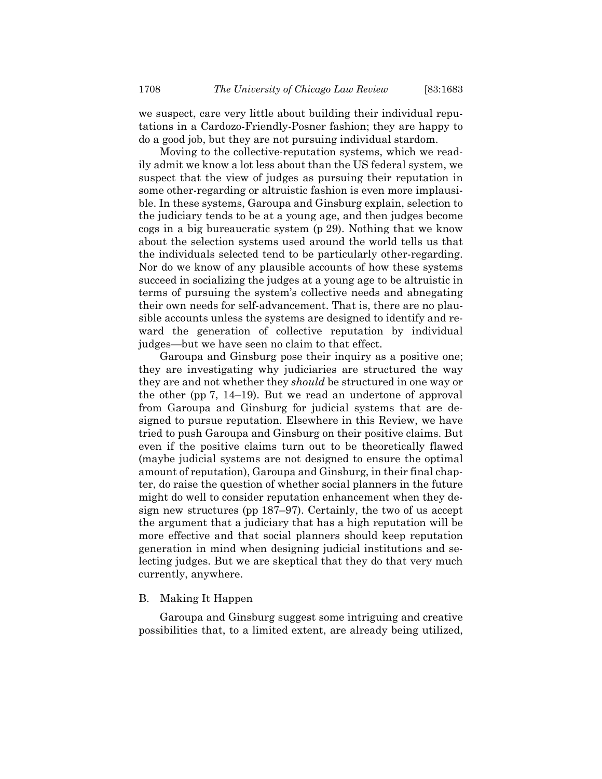we suspect, care very little about building their individual reputations in a Cardozo-Friendly-Posner fashion; they are happy to do a good job, but they are not pursuing individual stardom.

Moving to the collective-reputation systems, which we readily admit we know a lot less about than the US federal system, we suspect that the view of judges as pursuing their reputation in some other-regarding or altruistic fashion is even more implausible. In these systems, Garoupa and Ginsburg explain, selection to the judiciary tends to be at a young age, and then judges become cogs in a big bureaucratic system (p 29). Nothing that we know about the selection systems used around the world tells us that the individuals selected tend to be particularly other-regarding. Nor do we know of any plausible accounts of how these systems succeed in socializing the judges at a young age to be altruistic in terms of pursuing the system's collective needs and abnegating their own needs for self-advancement. That is, there are no plausible accounts unless the systems are designed to identify and reward the generation of collective reputation by individual judges—but we have seen no claim to that effect.

Garoupa and Ginsburg pose their inquiry as a positive one; they are investigating why judiciaries are structured the way they are and not whether they *should* be structured in one way or the other (pp 7, 14–19). But we read an undertone of approval from Garoupa and Ginsburg for judicial systems that are designed to pursue reputation. Elsewhere in this Review, we have tried to push Garoupa and Ginsburg on their positive claims. But even if the positive claims turn out to be theoretically flawed (maybe judicial systems are not designed to ensure the optimal amount of reputation), Garoupa and Ginsburg, in their final chapter, do raise the question of whether social planners in the future might do well to consider reputation enhancement when they design new structures (pp 187–97). Certainly, the two of us accept the argument that a judiciary that has a high reputation will be more effective and that social planners should keep reputation generation in mind when designing judicial institutions and selecting judges. But we are skeptical that they do that very much currently, anywhere.

## B. Making It Happen

Garoupa and Ginsburg suggest some intriguing and creative possibilities that, to a limited extent, are already being utilized,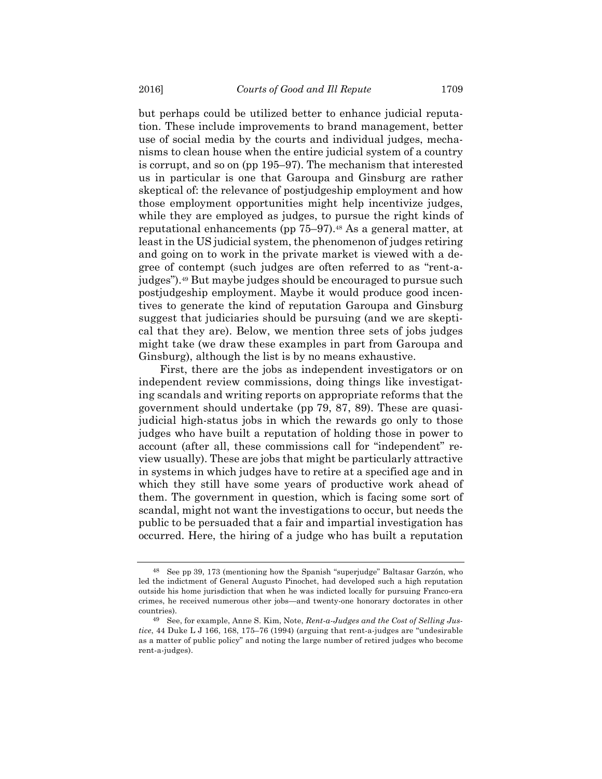but perhaps could be utilized better to enhance judicial reputation. These include improvements to brand management, better use of social media by the courts and individual judges, mechanisms to clean house when the entire judicial system of a country is corrupt, and so on (pp 195–97). The mechanism that interested us in particular is one that Garoupa and Ginsburg are rather skeptical of: the relevance of postjudgeship employment and how those employment opportunities might help incentivize judges, while they are employed as judges, to pursue the right kinds of reputational enhancements (pp 75–97).<sup>48</sup> As a general matter, at least in the US judicial system, the phenomenon of judges retiring and going on to work in the private market is viewed with a degree of contempt (such judges are often referred to as "rent-ajudges").49 But maybe judges should be encouraged to pursue such postjudgeship employment. Maybe it would produce good incentives to generate the kind of reputation Garoupa and Ginsburg suggest that judiciaries should be pursuing (and we are skeptical that they are). Below, we mention three sets of jobs judges might take (we draw these examples in part from Garoupa and Ginsburg), although the list is by no means exhaustive.

First, there are the jobs as independent investigators or on independent review commissions, doing things like investigating scandals and writing reports on appropriate reforms that the government should undertake (pp 79, 87, 89). These are quasijudicial high-status jobs in which the rewards go only to those judges who have built a reputation of holding those in power to account (after all, these commissions call for "independent" review usually). These are jobs that might be particularly attractive in systems in which judges have to retire at a specified age and in which they still have some years of productive work ahead of them. The government in question, which is facing some sort of scandal, might not want the investigations to occur, but needs the public to be persuaded that a fair and impartial investigation has occurred. Here, the hiring of a judge who has built a reputation

<sup>48</sup> See pp 39, 173 (mentioning how the Spanish "superjudge" Baltasar Garzón, who led the indictment of General Augusto Pinochet, had developed such a high reputation outside his home jurisdiction that when he was indicted locally for pursuing Franco-era crimes, he received numerous other jobs—and twenty-one honorary doctorates in other countries).

<sup>49</sup> See, for example, Anne S. Kim, Note, *Rent-a-Judges and the Cost of Selling Justice*, 44 Duke L J 166, 168, 175–76 (1994) (arguing that rent-a-judges are "undesirable as a matter of public policy" and noting the large number of retired judges who become rent-a-judges).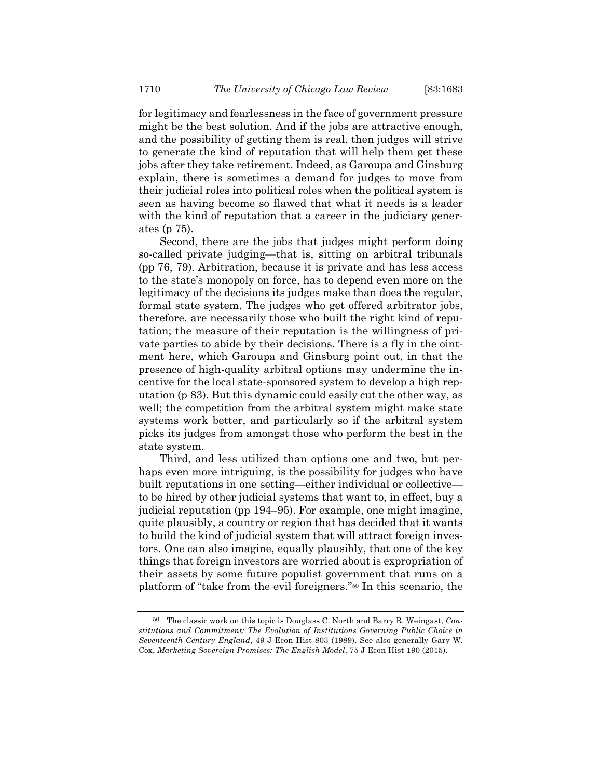for legitimacy and fearlessness in the face of government pressure might be the best solution. And if the jobs are attractive enough, and the possibility of getting them is real, then judges will strive to generate the kind of reputation that will help them get these jobs after they take retirement. Indeed, as Garoupa and Ginsburg explain, there is sometimes a demand for judges to move from their judicial roles into political roles when the political system is seen as having become so flawed that what it needs is a leader with the kind of reputation that a career in the judiciary generates (p 75).

Second, there are the jobs that judges might perform doing so-called private judging—that is, sitting on arbitral tribunals (pp 76, 79). Arbitration, because it is private and has less access to the state's monopoly on force, has to depend even more on the legitimacy of the decisions its judges make than does the regular, formal state system. The judges who get offered arbitrator jobs, therefore, are necessarily those who built the right kind of reputation; the measure of their reputation is the willingness of private parties to abide by their decisions. There is a fly in the ointment here, which Garoupa and Ginsburg point out, in that the presence of high-quality arbitral options may undermine the incentive for the local state-sponsored system to develop a high reputation (p 83). But this dynamic could easily cut the other way, as well; the competition from the arbitral system might make state systems work better, and particularly so if the arbitral system picks its judges from amongst those who perform the best in the state system.

Third, and less utilized than options one and two, but perhaps even more intriguing, is the possibility for judges who have built reputations in one setting—either individual or collective to be hired by other judicial systems that want to, in effect, buy a judicial reputation (pp 194–95). For example, one might imagine, quite plausibly, a country or region that has decided that it wants to build the kind of judicial system that will attract foreign investors. One can also imagine, equally plausibly, that one of the key things that foreign investors are worried about is expropriation of their assets by some future populist government that runs on a platform of "take from the evil foreigners."50 In this scenario, the

<sup>50</sup> The classic work on this topic is Douglass C. North and Barry R. Weingast, *Constitutions and Commitment: The Evolution of Institutions Governing Public Choice in Seventeenth-Century England*, 49 J Econ Hist 803 (1989). See also generally Gary W. Cox, *Marketing Sovereign Promises: The English Model*, 75 J Econ Hist 190 (2015).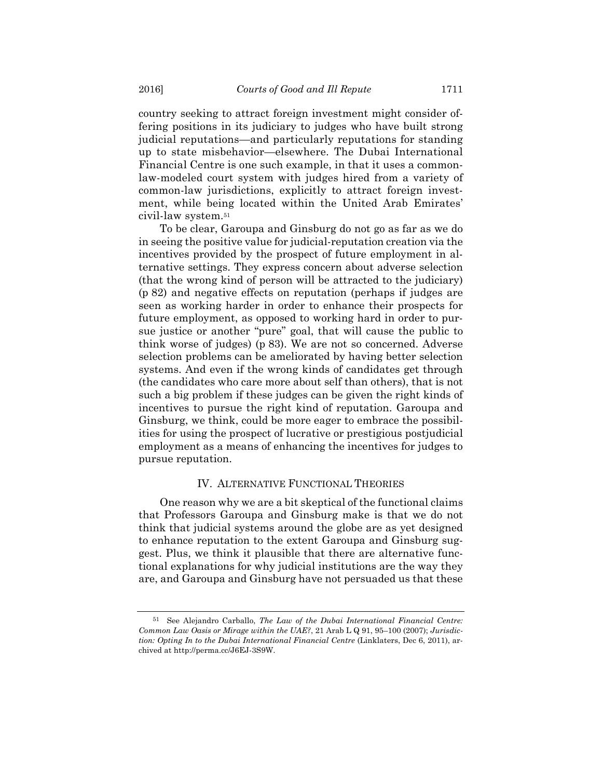country seeking to attract foreign investment might consider offering positions in its judiciary to judges who have built strong judicial reputations—and particularly reputations for standing up to state misbehavior—elsewhere. The Dubai International Financial Centre is one such example, in that it uses a commonlaw-modeled court system with judges hired from a variety of common-law jurisdictions, explicitly to attract foreign investment, while being located within the United Arab Emirates' civil-law system.51

To be clear, Garoupa and Ginsburg do not go as far as we do in seeing the positive value for judicial-reputation creation via the incentives provided by the prospect of future employment in alternative settings. They express concern about adverse selection (that the wrong kind of person will be attracted to the judiciary) (p 82) and negative effects on reputation (perhaps if judges are seen as working harder in order to enhance their prospects for future employment, as opposed to working hard in order to pursue justice or another "pure" goal, that will cause the public to think worse of judges) (p 83). We are not so concerned. Adverse selection problems can be ameliorated by having better selection systems. And even if the wrong kinds of candidates get through (the candidates who care more about self than others), that is not such a big problem if these judges can be given the right kinds of incentives to pursue the right kind of reputation. Garoupa and Ginsburg, we think, could be more eager to embrace the possibilities for using the prospect of lucrative or prestigious postjudicial employment as a means of enhancing the incentives for judges to pursue reputation.

## IV. ALTERNATIVE FUNCTIONAL THEORIES

One reason why we are a bit skeptical of the functional claims that Professors Garoupa and Ginsburg make is that we do not think that judicial systems around the globe are as yet designed to enhance reputation to the extent Garoupa and Ginsburg suggest. Plus, we think it plausible that there are alternative functional explanations for why judicial institutions are the way they are, and Garoupa and Ginsburg have not persuaded us that these

<sup>51</sup> See Alejandro Carballo, *The Law of the Dubai International Financial Centre: Common Law Oasis or Mirage within the UAE?*, 21 Arab L Q 91, 95–100 (2007); *Jurisdiction: Opting In to the Dubai International Financial Centre* (Linklaters, Dec 6, 2011), archived at http://perma.cc/J6EJ-3S9W.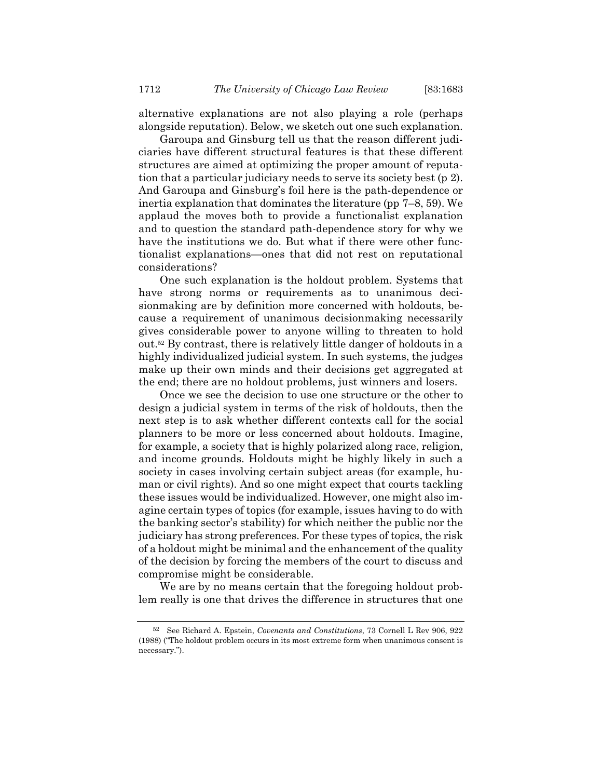alternative explanations are not also playing a role (perhaps alongside reputation). Below, we sketch out one such explanation.

Garoupa and Ginsburg tell us that the reason different judiciaries have different structural features is that these different structures are aimed at optimizing the proper amount of reputation that a particular judiciary needs to serve its society best (p 2). And Garoupa and Ginsburg's foil here is the path-dependence or inertia explanation that dominates the literature (pp 7–8, 59). We applaud the moves both to provide a functionalist explanation and to question the standard path-dependence story for why we have the institutions we do. But what if there were other functionalist explanations—ones that did not rest on reputational considerations?

One such explanation is the holdout problem. Systems that have strong norms or requirements as to unanimous decisionmaking are by definition more concerned with holdouts, because a requirement of unanimous decisionmaking necessarily gives considerable power to anyone willing to threaten to hold out.52 By contrast, there is relatively little danger of holdouts in a highly individualized judicial system. In such systems, the judges make up their own minds and their decisions get aggregated at the end; there are no holdout problems, just winners and losers.

Once we see the decision to use one structure or the other to design a judicial system in terms of the risk of holdouts, then the next step is to ask whether different contexts call for the social planners to be more or less concerned about holdouts. Imagine, for example, a society that is highly polarized along race, religion, and income grounds. Holdouts might be highly likely in such a society in cases involving certain subject areas (for example, human or civil rights). And so one might expect that courts tackling these issues would be individualized. However, one might also imagine certain types of topics (for example, issues having to do with the banking sector's stability) for which neither the public nor the judiciary has strong preferences. For these types of topics, the risk of a holdout might be minimal and the enhancement of the quality of the decision by forcing the members of the court to discuss and compromise might be considerable.

We are by no means certain that the foregoing holdout problem really is one that drives the difference in structures that one

<sup>52</sup> See Richard A. Epstein, *Covenants and Constitutions*, 73 Cornell L Rev 906, 922 (1988) ("The holdout problem occurs in its most extreme form when unanimous consent is necessary.").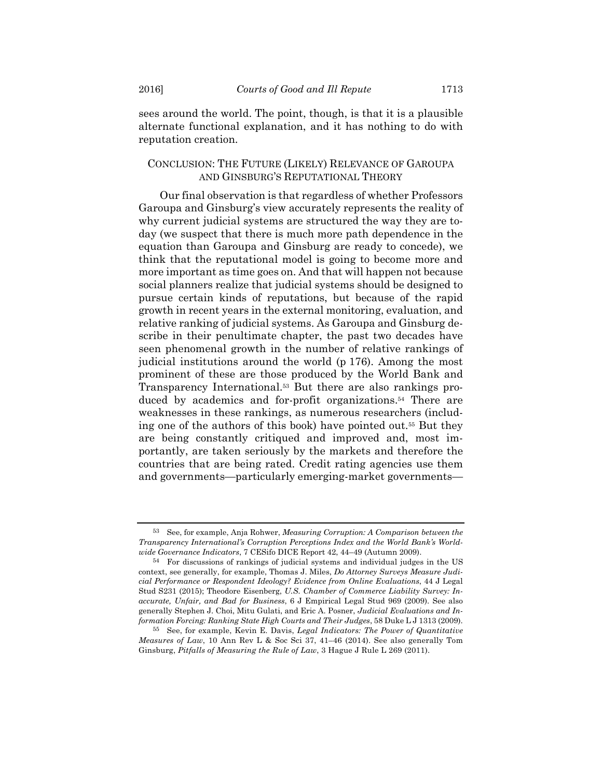sees around the world. The point, though, is that it is a plausible alternate functional explanation, and it has nothing to do with reputation creation.

## CONCLUSION: THE FUTURE (LIKELY) RELEVANCE OF GAROUPA AND GINSBURG'S REPUTATIONAL THEORY

Our final observation is that regardless of whether Professors Garoupa and Ginsburg's view accurately represents the reality of why current judicial systems are structured the way they are today (we suspect that there is much more path dependence in the equation than Garoupa and Ginsburg are ready to concede), we think that the reputational model is going to become more and more important as time goes on. And that will happen not because social planners realize that judicial systems should be designed to pursue certain kinds of reputations, but because of the rapid growth in recent years in the external monitoring, evaluation, and relative ranking of judicial systems. As Garoupa and Ginsburg describe in their penultimate chapter, the past two decades have seen phenomenal growth in the number of relative rankings of judicial institutions around the world (p 176). Among the most prominent of these are those produced by the World Bank and Transparency International.53 But there are also rankings produced by academics and for-profit organizations.54 There are weaknesses in these rankings, as numerous researchers (including one of the authors of this book) have pointed out.55 But they are being constantly critiqued and improved and, most importantly, are taken seriously by the markets and therefore the countries that are being rated. Credit rating agencies use them and governments—particularly emerging-market governments—

<sup>53</sup> See, for example, Anja Rohwer, *Measuring Corruption: A Comparison between the Transparency International's Corruption Perceptions Index and the World Bank's Worldwide Governance Indicators*, 7 CESifo DICE Report 42, 44–49 (Autumn 2009).

<sup>54</sup> For discussions of rankings of judicial systems and individual judges in the US context, see generally, for example, Thomas J. Miles, *Do Attorney Surveys Measure Judicial Performance or Respondent Ideology? Evidence from Online Evaluations*, 44 J Legal Stud S231 (2015); Theodore Eisenberg, *U.S. Chamber of Commerce Liability Survey: Inaccurate, Unfair, and Bad for Business*, 6 J Empirical Legal Stud 969 (2009). See also generally Stephen J. Choi, Mitu Gulati, and Eric A. Posner, *Judicial Evaluations and Information Forcing: Ranking State High Courts and Their Judges*, 58 Duke L J 1313 (2009).

<sup>55</sup> See, for example, Kevin E. Davis, *Legal Indicators: The Power of Quantitative Measures of Law*, 10 Ann Rev L & Soc Sci 37, 41–46 (2014). See also generally Tom Ginsburg, *Pitfalls of Measuring the Rule of Law*, 3 Hague J Rule L 269 (2011).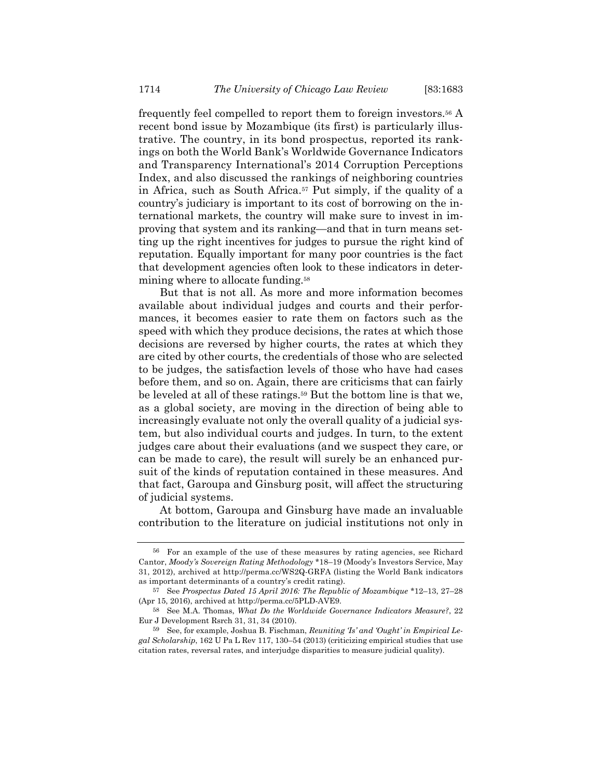frequently feel compelled to report them to foreign investors.56 A recent bond issue by Mozambique (its first) is particularly illustrative. The country, in its bond prospectus, reported its rankings on both the World Bank's Worldwide Governance Indicators and Transparency International's 2014 Corruption Perceptions Index, and also discussed the rankings of neighboring countries in Africa, such as South Africa.57 Put simply, if the quality of a country's judiciary is important to its cost of borrowing on the international markets, the country will make sure to invest in improving that system and its ranking—and that in turn means setting up the right incentives for judges to pursue the right kind of reputation. Equally important for many poor countries is the fact that development agencies often look to these indicators in determining where to allocate funding.58

But that is not all. As more and more information becomes available about individual judges and courts and their performances, it becomes easier to rate them on factors such as the speed with which they produce decisions, the rates at which those decisions are reversed by higher courts, the rates at which they are cited by other courts, the credentials of those who are selected to be judges, the satisfaction levels of those who have had cases before them, and so on. Again, there are criticisms that can fairly be leveled at all of these ratings.59 But the bottom line is that we, as a global society, are moving in the direction of being able to increasingly evaluate not only the overall quality of a judicial system, but also individual courts and judges. In turn, to the extent judges care about their evaluations (and we suspect they care, or can be made to care), the result will surely be an enhanced pursuit of the kinds of reputation contained in these measures. And that fact, Garoupa and Ginsburg posit, will affect the structuring of judicial systems.

At bottom, Garoupa and Ginsburg have made an invaluable contribution to the literature on judicial institutions not only in

<sup>56</sup> For an example of the use of these measures by rating agencies, see Richard Cantor, *Moody's Sovereign Rating Methodology* \*18–19 (Moody's Investors Service, May 31, 2012), archived at http://perma.cc/WS2Q-GRFA (listing the World Bank indicators as important determinants of a country's credit rating).

<sup>57</sup> See *Prospectus Dated 15 April 2016: The Republic of Mozambique* \*12–13, 27–28 (Apr 15, 2016), archived at http://perma.cc/5PLD-AVE9.

<sup>58</sup> See M.A. Thomas, *What Do the Worldwide Governance Indicators Measure?*, 22 Eur J Development Rsrch 31, 31, 34 (2010).

<sup>59</sup> See, for example, Joshua B. Fischman, *Reuniting 'Is' and 'Ought' in Empirical Legal Scholarship*, 162 U Pa L Rev 117, 130–54 (2013) (criticizing empirical studies that use citation rates, reversal rates, and interjudge disparities to measure judicial quality).